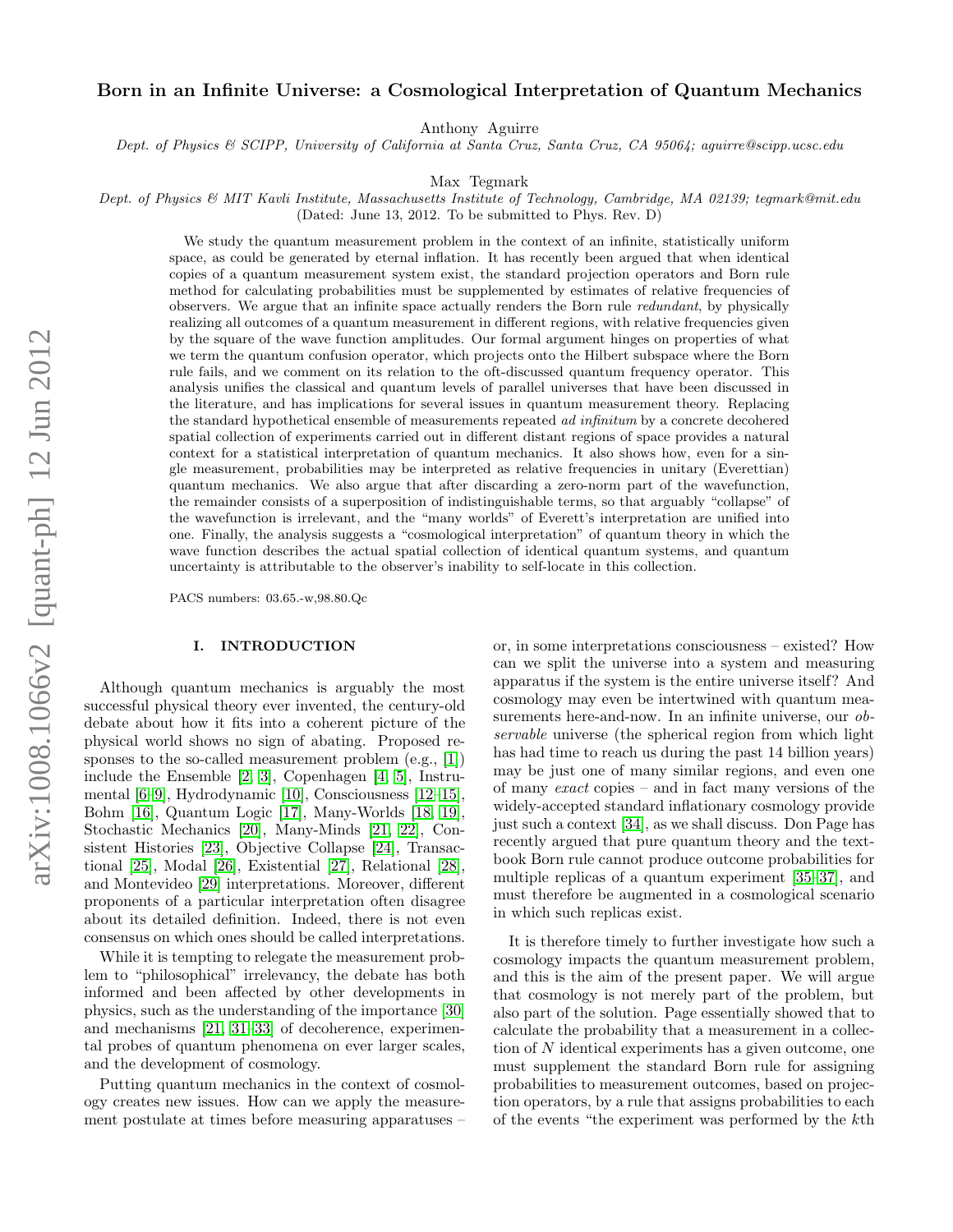# Born in an Infinite Universe: a Cosmological Interpretation of Quantum Mechanics

Anthony Aguirre

Dept. of Physics & SCIPP, University of California at Santa Cruz, Santa Cruz, CA 95064; aguirre@scipp.ucsc.edu

Max Tegmark

Dept. of Physics & MIT Kavli Institute, Massachusetts Institute of Technology, Cambridge, MA 02139; tegmark@mit.edu

(Dated: June 13, 2012. To be submitted to Phys. Rev. D)

We study the quantum measurement problem in the context of an infinite, statistically uniform space, as could be generated by eternal inflation. It has recently been argued that when identical copies of a quantum measurement system exist, the standard projection operators and Born rule method for calculating probabilities must be supplemented by estimates of relative frequencies of observers. We argue that an infinite space actually renders the Born rule redundant, by physically realizing all outcomes of a quantum measurement in different regions, with relative frequencies given by the square of the wave function amplitudes. Our formal argument hinges on properties of what we term the quantum confusion operator, which projects onto the Hilbert subspace where the Born rule fails, and we comment on its relation to the oft-discussed quantum frequency operator. This analysis unifies the classical and quantum levels of parallel universes that have been discussed in the literature, and has implications for several issues in quantum measurement theory. Replacing the standard hypothetical ensemble of measurements repeated ad infinitum by a concrete decohered spatial collection of experiments carried out in different distant regions of space provides a natural context for a statistical interpretation of quantum mechanics. It also shows how, even for a single measurement, probabilities may be interpreted as relative frequencies in unitary (Everettian) quantum mechanics. We also argue that after discarding a zero-norm part of the wavefunction, the remainder consists of a superposition of indistinguishable terms, so that arguably "collapse" of the wavefunction is irrelevant, and the "many worlds" of Everett's interpretation are unified into one. Finally, the analysis suggests a "cosmological interpretation" of quantum theory in which the wave function describes the actual spatial collection of identical quantum systems, and quantum uncertainty is attributable to the observer's inability to self-locate in this collection.

PACS numbers: 03.65.-w,98.80.Qc

### I. INTRODUCTION

Although quantum mechanics is arguably the most successful physical theory ever invented, the century-old debate about how it fits into a coherent picture of the physical world shows no sign of abating. Proposed responses to the so-called measurement problem (e.g., [\[1\]](#page-15-0)) include the Ensemble [\[2,](#page-15-1) [3\]](#page-15-2), Copenhagen [\[4,](#page-15-3) [5\]](#page-15-4), Instrumental [\[6](#page-15-5)[–9\]](#page-15-6), Hydrodynamic [\[10\]](#page-15-7), Consciousness [\[12–](#page-15-8)[15\]](#page-15-9), Bohm [\[16\]](#page-15-10), Quantum Logic [\[17\]](#page-15-11), Many-Worlds [\[18,](#page-15-12) [19\]](#page-15-13), Stochastic Mechanics [\[20\]](#page-15-14), Many-Minds [\[21,](#page-15-15) [22\]](#page-15-16), Consistent Histories [\[23\]](#page-15-17), Objective Collapse [\[24\]](#page-15-18), Transactional [\[25\]](#page-15-19), Modal [\[26\]](#page-15-20), Existential [\[27\]](#page-15-21), Relational [\[28\]](#page-15-22), and Montevideo [\[29\]](#page-15-23) interpretations. Moreover, different proponents of a particular interpretation often disagree about its detailed definition. Indeed, there is not even consensus on which ones should be called interpretations.

While it is tempting to relegate the measurement problem to "philosophical" irrelevancy, the debate has both informed and been affected by other developments in physics, such as the understanding of the importance [\[30\]](#page-15-24) and mechanisms [\[21,](#page-15-15) [31–](#page-15-25)[33\]](#page-15-26) of decoherence, experimental probes of quantum phenomena on ever larger scales, and the development of cosmology.

Putting quantum mechanics in the context of cosmology creates new issues. How can we apply the measurement postulate at times before measuring apparatuses –

or, in some interpretations consciousness – existed? How can we split the universe into a system and measuring apparatus if the system is the entire universe itself? And cosmology may even be intertwined with quantum measurements here-and-now. In an infinite universe, our observable universe (the spherical region from which light has had time to reach us during the past 14 billion years) may be just one of many similar regions, and even one of many exact copies – and in fact many versions of the widely-accepted standard inflationary cosmology provide just such a context [\[34\]](#page-15-27), as we shall discuss. Don Page has recently argued that pure quantum theory and the textbook Born rule cannot produce outcome probabilities for multiple replicas of a quantum experiment [\[35–](#page-15-28)[37\]](#page-15-29), and must therefore be augmented in a cosmological scenario in which such replicas exist.

It is therefore timely to further investigate how such a cosmology impacts the quantum measurement problem, and this is the aim of the present paper. We will argue that cosmology is not merely part of the problem, but also part of the solution. Page essentially showed that to calculate the probability that a measurement in a collection of N identical experiments has a given outcome, one must supplement the standard Born rule for assigning probabilities to measurement outcomes, based on projection operators, by a rule that assigns probabilities to each of the events "the experiment was performed by the kth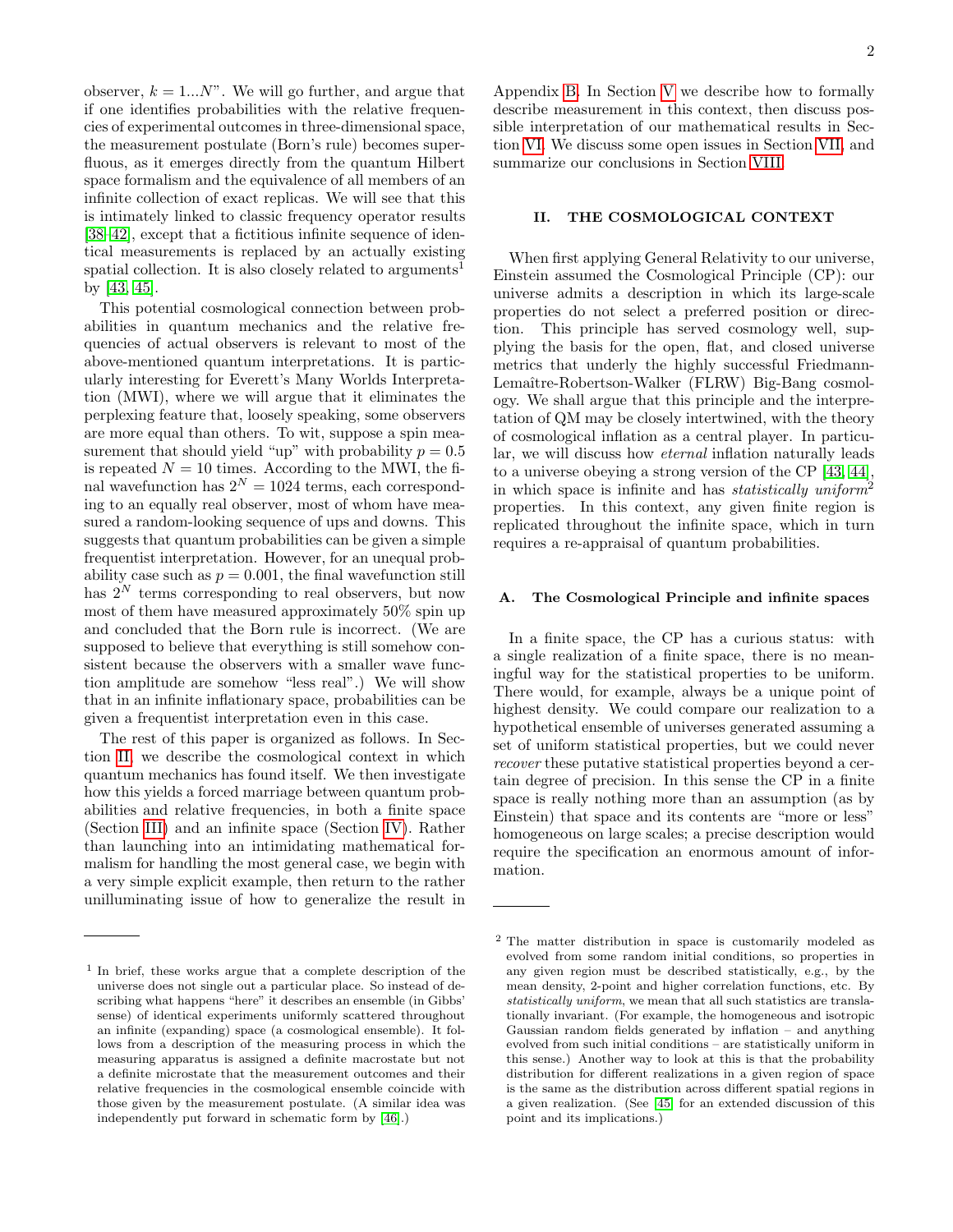observer,  $k = 1...N$ ". We will go further, and argue that if one identifies probabilities with the relative frequencies of experimental outcomes in three-dimensional space, the measurement postulate (Born's rule) becomes superfluous, as it emerges directly from the quantum Hilbert space formalism and the equivalence of all members of an infinite collection of exact replicas. We will see that this is intimately linked to classic frequency operator results [\[38–](#page-15-30)[42\]](#page-15-31), except that a fictitious infinite sequence of identical measurements is replaced by an actually existing spatial collection. It is also closely related to arguments<sup>1</sup> by [\[43,](#page-15-32) [45\]](#page-15-33).

This potential cosmological connection between probabilities in quantum mechanics and the relative frequencies of actual observers is relevant to most of the above-mentioned quantum interpretations. It is particularly interesting for Everett's Many Worlds Interpretation (MWI), where we will argue that it eliminates the perplexing feature that, loosely speaking, some observers are more equal than others. To wit, suppose a spin measurement that should yield "up" with probability  $p = 0.5$ is repeated  $N = 10$  times. According to the MWI, the final wavefunction has  $2^N = 1024$  terms, each corresponding to an equally real observer, most of whom have measured a random-looking sequence of ups and downs. This suggests that quantum probabilities can be given a simple frequentist interpretation. However, for an unequal probability case such as  $p = 0.001$ , the final wavefunction still has  $2^N$  terms corresponding to real observers, but now most of them have measured approximately 50% spin up and concluded that the Born rule is incorrect. (We are supposed to believe that everything is still somehow consistent because the observers with a smaller wave function amplitude are somehow "less real".) We will show that in an infinite inflationary space, probabilities can be given a frequentist interpretation even in this case.

The rest of this paper is organized as follows. In Section [II,](#page-1-0) we describe the cosmological context in which quantum mechanics has found itself. We then investigate how this yields a forced marriage between quantum probabilities and relative frequencies, in both a finite space (Section [III\)](#page-4-0) and an infinite space (Section [IV\)](#page-6-0). Rather than launching into an intimidating mathematical formalism for handling the most general case, we begin with a very simple explicit example, then return to the rather unilluminating issue of how to generalize the result in 2

Appendix [B.](#page-12-0) In Section [V](#page-7-0) we describe how to formally describe measurement in this context, then discuss possible interpretation of our mathematical results in Section [VI.](#page-7-1) We discuss some open issues in Section [VII,](#page-8-0) and summarize our conclusions in Section [VIII.](#page-10-0)

# <span id="page-1-0"></span>II. THE COSMOLOGICAL CONTEXT

When first applying General Relativity to our universe, Einstein assumed the Cosmological Principle (CP): our universe admits a description in which its large-scale properties do not select a preferred position or direction. This principle has served cosmology well, supplying the basis for the open, flat, and closed universe metrics that underly the highly successful Friedmann-Lemaître-Robertson-Walker (FLRW) Big-Bang cosmology. We shall argue that this principle and the interpretation of QM may be closely intertwined, with the theory of cosmological inflation as a central player. In particular, we will discuss how eternal inflation naturally leads to a universe obeying a strong version of the CP [\[43,](#page-15-32) [44\]](#page-15-35), in which space is infinite and has *statistically uniform*<sup>2</sup> properties. In this context, any given finite region is replicated throughout the infinite space, which in turn requires a re-appraisal of quantum probabilities.

### <span id="page-1-1"></span>A. The Cosmological Principle and infinite spaces

In a finite space, the CP has a curious status: with a single realization of a finite space, there is no meaningful way for the statistical properties to be uniform. There would, for example, always be a unique point of highest density. We could compare our realization to a hypothetical ensemble of universes generated assuming a set of uniform statistical properties, but we could never recover these putative statistical properties beyond a certain degree of precision. In this sense the CP in a finite space is really nothing more than an assumption (as by Einstein) that space and its contents are "more or less" homogeneous on large scales; a precise description would require the specification an enormous amount of information.

<sup>1</sup> In brief, these works argue that a complete description of the universe does not single out a particular place. So instead of describing what happens "here" it describes an ensemble (in Gibbs' sense) of identical experiments uniformly scattered throughout an infinite (expanding) space (a cosmological ensemble). It follows from a description of the measuring process in which the measuring apparatus is assigned a definite macrostate but not a definite microstate that the measurement outcomes and their relative frequencies in the cosmological ensemble coincide with those given by the measurement postulate. (A similar idea was independently put forward in schematic form by [\[46\]](#page-15-34).)

<sup>2</sup> The matter distribution in space is customarily modeled as evolved from some random initial conditions, so properties in any given region must be described statistically, e.g., by the mean density, 2-point and higher correlation functions, etc. By statistically uniform, we mean that all such statistics are translationally invariant. (For example, the homogeneous and isotropic Gaussian random fields generated by inflation – and anything evolved from such initial conditions – are statistically uniform in this sense.) Another way to look at this is that the probability distribution for different realizations in a given region of space is the same as the distribution across different spatial regions in a given realization. (See [\[45\]](#page-15-33) for an extended discussion of this point and its implications.)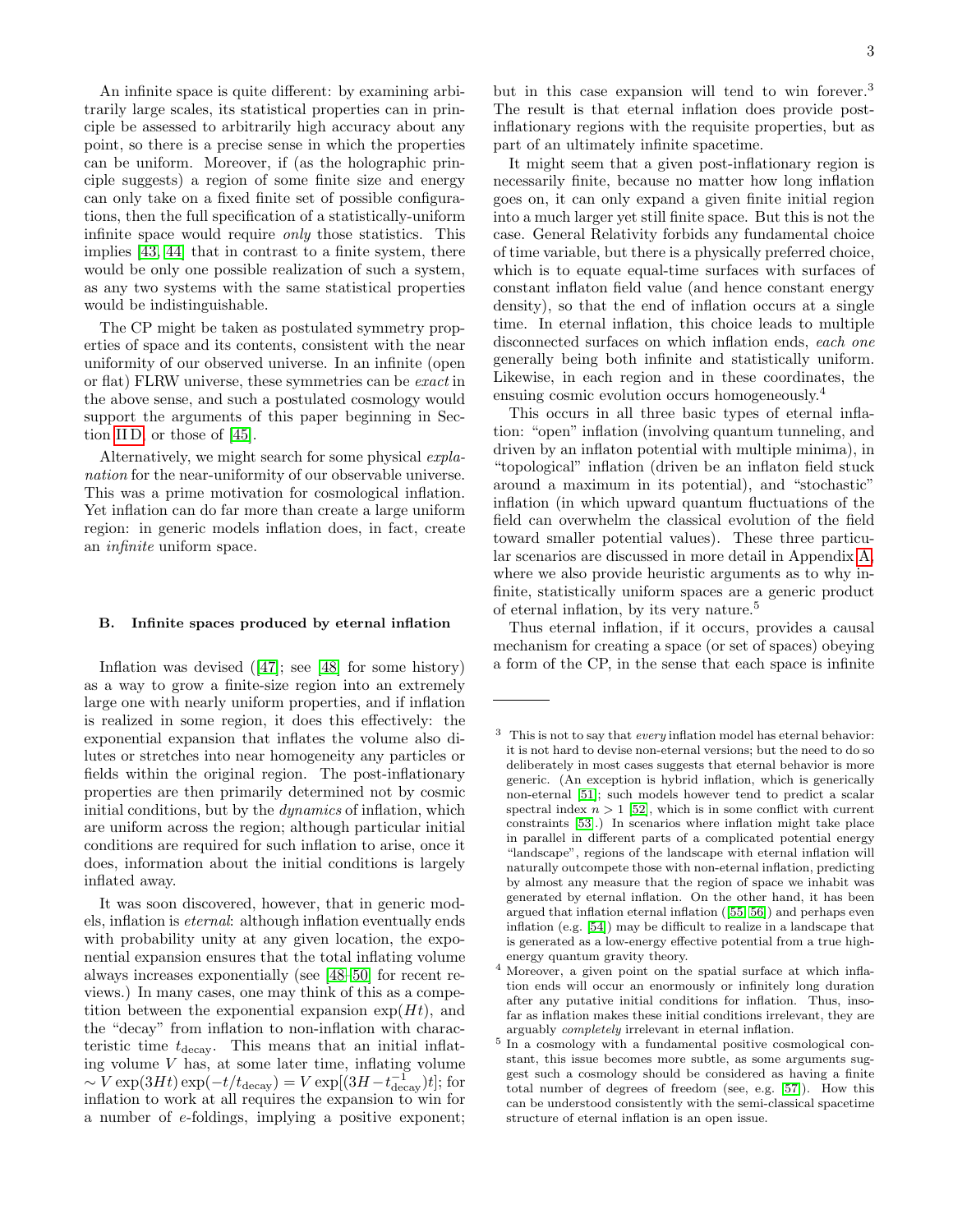An infinite space is quite different: by examining arbitrarily large scales, its statistical properties can in principle be assessed to arbitrarily high accuracy about any point, so there is a precise sense in which the properties can be uniform. Moreover, if (as the holographic principle suggests) a region of some finite size and energy can only take on a fixed finite set of possible configurations, then the full specification of a statistically-uniform infinite space would require *only* those statistics. This implies [\[43,](#page-15-32) [44\]](#page-15-35) that in contrast to a finite system, there would be only one possible realization of such a system, as any two systems with the same statistical properties would be indistinguishable.

The CP might be taken as postulated symmetry properties of space and its contents, consistent with the near uniformity of our observed universe. In an infinite (open or flat) FLRW universe, these symmetries can be exact in the above sense, and such a postulated cosmology would support the arguments of this paper beginning in Section [II D,](#page-3-0) or those of [\[45\]](#page-15-33).

Alternatively, we might search for some physical explanation for the near-uniformity of our observable universe. This was a prime motivation for cosmological inflation. Yet inflation can do far more than create a large uniform region: in generic models inflation does, in fact, create an infinite uniform space.

### B. Infinite spaces produced by eternal inflation

Inflation was devised  $([47];$  $([47];$  $([47];$  see  $[48]$  for some history) as a way to grow a finite-size region into an extremely large one with nearly uniform properties, and if inflation is realized in some region, it does this effectively: the exponential expansion that inflates the volume also dilutes or stretches into near homogeneity any particles or fields within the original region. The post-inflationary properties are then primarily determined not by cosmic initial conditions, but by the *dynamics* of inflation, which are uniform across the region; although particular initial conditions are required for such inflation to arise, once it does, information about the initial conditions is largely inflated away.

It was soon discovered, however, that in generic models, inflation is eternal: although inflation eventually ends with probability unity at any given location, the exponential expansion ensures that the total inflating volume always increases exponentially (see [\[48–](#page-15-37)[50\]](#page-15-38) for recent reviews.) In many cases, one may think of this as a competition between the exponential expansion  $\exp(Ht)$ , and the "decay" from inflation to non-inflation with characteristic time  $t_{\text{decay}}$ . This means that an initial inflating volume V has, at some later time, inflating volume  $\sim V \exp(3Ht) \exp(-t/t_{\text{decay}}) = V \exp[(3H - t_{\text{decay}}^{-1})t]$ ; for inflation to work at all requires the expansion to win for a number of e-foldings, implying a positive exponent;

but in this case expansion will tend to win forever.<sup>3</sup> The result is that eternal inflation does provide postinflationary regions with the requisite properties, but as part of an ultimately infinite spacetime.

It might seem that a given post-inflationary region is necessarily finite, because no matter how long inflation goes on, it can only expand a given finite initial region into a much larger yet still finite space. But this is not the case. General Relativity forbids any fundamental choice of time variable, but there is a physically preferred choice, which is to equate equal-time surfaces with surfaces of constant inflaton field value (and hence constant energy density), so that the end of inflation occurs at a single time. In eternal inflation, this choice leads to multiple disconnected surfaces on which inflation ends, each one generally being both infinite and statistically uniform. Likewise, in each region and in these coordinates, the ensuing cosmic evolution occurs homogeneously.<sup>4</sup>

This occurs in all three basic types of eternal inflation: "open" inflation (involving quantum tunneling, and driven by an inflaton potential with multiple minima), in "topological" inflation (driven be an inflaton field stuck around a maximum in its potential), and "stochastic" inflation (in which upward quantum fluctuations of the field can overwhelm the classical evolution of the field toward smaller potential values). These three particular scenarios are discussed in more detail in Appendix [A,](#page-10-1) where we also provide heuristic arguments as to why infinite, statistically uniform spaces are a generic product of eternal inflation, by its very nature.<sup>5</sup>

Thus eternal inflation, if it occurs, provides a causal mechanism for creating a space (or set of spaces) obeying a form of the CP, in the sense that each space is infinite

 $3$  This is not to say that *every* inflation model has eternal behavior: it is not hard to devise non-eternal versions; but the need to do so deliberately in most cases suggests that eternal behavior is more generic. (An exception is hybrid inflation, which is generically non-eternal [\[51\]](#page-15-39); such models however tend to predict a scalar spectral index  $n > 1$  [\[52\]](#page-15-40), which is in some conflict with current constraints [\[53\]](#page-15-41).) In scenarios where inflation might take place in parallel in different parts of a complicated potential energy "landscape", regions of the landscape with eternal inflation will naturally outcompete those with non-eternal inflation, predicting by almost any measure that the region of space we inhabit was generated by eternal inflation. On the other hand, it has been argued that inflation eternal inflation ([\[55,](#page-16-0) [56\]](#page-16-1)) and perhaps even inflation (e.g. [\[54\]](#page-16-2)) may be difficult to realize in a landscape that is generated as a low-energy effective potential from a true highenergy quantum gravity theory.

<sup>4</sup> Moreover, a given point on the spatial surface at which inflation ends will occur an enormously or infinitely long duration after any putative initial conditions for inflation. Thus, insofar as inflation makes these initial conditions irrelevant, they are arguably completely irrelevant in eternal inflation.

<sup>5</sup> In a cosmology with a fundamental positive cosmological constant, this issue becomes more subtle, as some arguments suggest such a cosmology should be considered as having a finite total number of degrees of freedom (see, e.g. [\[57\]](#page-16-3)). How this can be understood consistently with the semi-classical spacetime structure of eternal inflation is an open issue.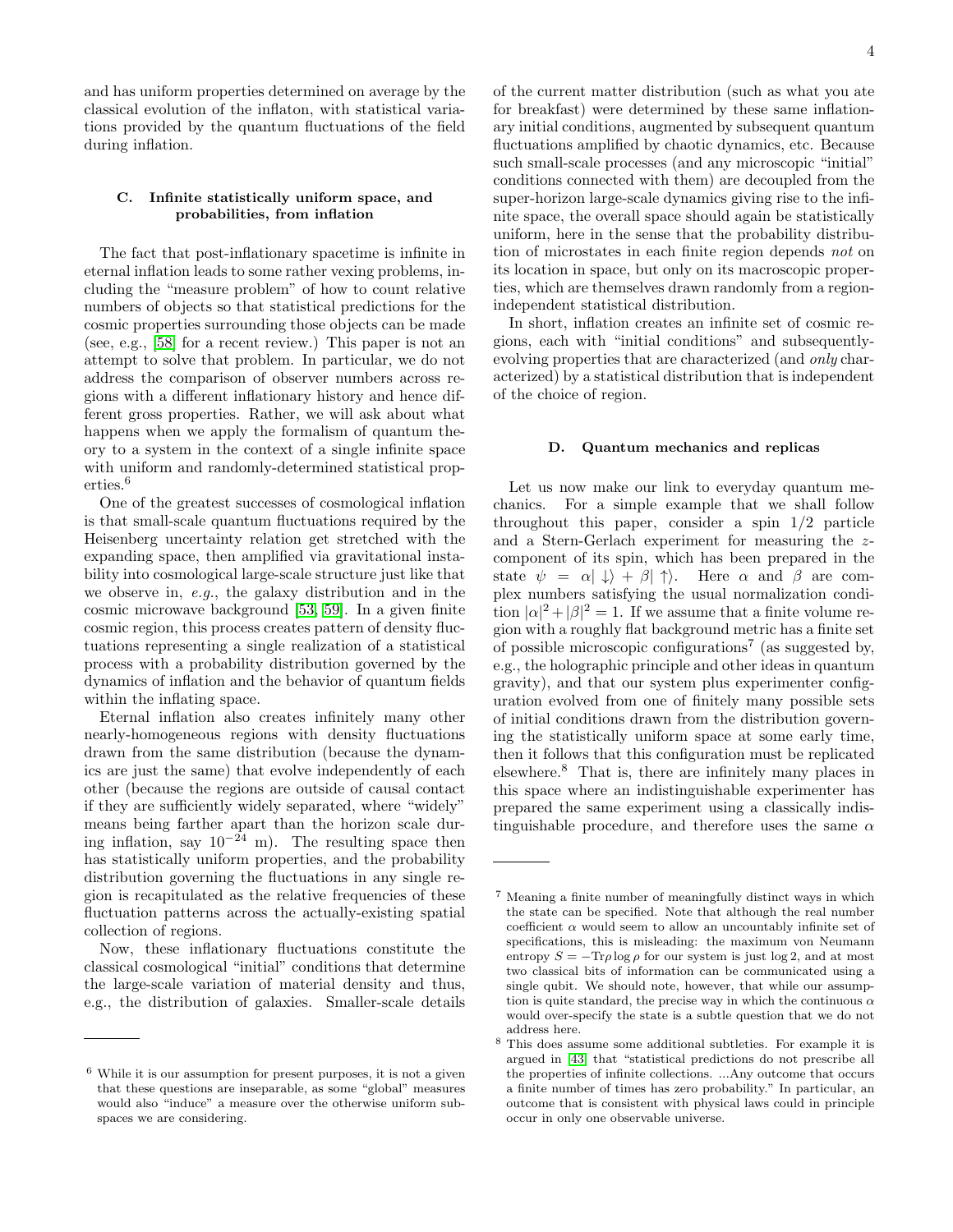and has uniform properties determined on average by the classical evolution of the inflaton, with statistical variations provided by the quantum fluctuations of the field during inflation.

# <span id="page-3-1"></span>C. Infinite statistically uniform space, and probabilities, from inflation

The fact that post-inflationary spacetime is infinite in eternal inflation leads to some rather vexing problems, including the "measure problem" of how to count relative numbers of objects so that statistical predictions for the cosmic properties surrounding those objects can be made (see, e.g., [\[58\]](#page-16-4) for a recent review.) This paper is not an attempt to solve that problem. In particular, we do not address the comparison of observer numbers across regions with a different inflationary history and hence different gross properties. Rather, we will ask about what happens when we apply the formalism of quantum theory to a system in the context of a single infinite space with uniform and randomly-determined statistical properties.<sup>6</sup>

One of the greatest successes of cosmological inflation is that small-scale quantum fluctuations required by the Heisenberg uncertainty relation get stretched with the expanding space, then amplified via gravitational instability into cosmological large-scale structure just like that we observe in, e.g., the galaxy distribution and in the cosmic microwave background [\[53,](#page-15-41) [59\]](#page-16-5). In a given finite cosmic region, this process creates pattern of density fluctuations representing a single realization of a statistical process with a probability distribution governed by the dynamics of inflation and the behavior of quantum fields within the inflating space.

Eternal inflation also creates infinitely many other nearly-homogeneous regions with density fluctuations drawn from the same distribution (because the dynamics are just the same) that evolve independently of each other (because the regions are outside of causal contact if they are sufficiently widely separated, where "widely" means being farther apart than the horizon scale during inflation, say  $10^{-24}$  m). The resulting space then has statistically uniform properties, and the probability distribution governing the fluctuations in any single region is recapitulated as the relative frequencies of these fluctuation patterns across the actually-existing spatial collection of regions.

Now, these inflationary fluctuations constitute the classical cosmological "initial" conditions that determine the large-scale variation of material density and thus, e.g., the distribution of galaxies. Smaller-scale details

of the current matter distribution (such as what you ate for breakfast) were determined by these same inflationary initial conditions, augmented by subsequent quantum fluctuations amplified by chaotic dynamics, etc. Because such small-scale processes (and any microscopic "initial" conditions connected with them) are decoupled from the super-horizon large-scale dynamics giving rise to the infinite space, the overall space should again be statistically uniform, here in the sense that the probability distribution of microstates in each finite region depends not on its location in space, but only on its macroscopic properties, which are themselves drawn randomly from a regionindependent statistical distribution.

In short, inflation creates an infinite set of cosmic regions, each with "initial conditions" and subsequentlyevolving properties that are characterized (and only characterized) by a statistical distribution that is independent of the choice of region.

#### <span id="page-3-0"></span>D. Quantum mechanics and replicas

Let us now make our link to everyday quantum mechanics. For a simple example that we shall follow throughout this paper, consider a spin 1/2 particle and a Stern-Gerlach experiment for measuring the zcomponent of its spin, which has been prepared in the state  $\psi = \alpha |\downarrow\rangle + \beta |\uparrow\rangle$ . Here  $\alpha$  and  $\beta$  are complex numbers satisfying the usual normalization condition  $|\alpha|^2 + |\beta|^2 = 1$ . If we assume that a finite volume region with a roughly flat background metric has a finite set of possible microscopic configurations<sup>7</sup> (as suggested by, e.g., the holographic principle and other ideas in quantum gravity), and that our system plus experimenter configuration evolved from one of finitely many possible sets of initial conditions drawn from the distribution governing the statistically uniform space at some early time, then it follows that this configuration must be replicated elsewhere.<sup>8</sup> That is, there are infinitely many places in this space where an indistinguishable experimenter has prepared the same experiment using a classically indistinguishable procedure, and therefore uses the same  $\alpha$ 

 $^6$  While it is our assumption for present purposes, it is not a given that these questions are inseparable, as some "global" measures would also "induce" a measure over the otherwise uniform subspaces we are considering.

<sup>7</sup> Meaning a finite number of meaningfully distinct ways in which the state can be specified. Note that although the real number coefficient  $\alpha$  would seem to allow an uncountably infinite set of specifications, this is misleading: the maximum von Neumann entropy  $S = -\text{Tr}\rho \log \rho$  for our system is just log 2, and at most two classical bits of information can be communicated using a single qubit. We should note, however, that while our assumption is quite standard, the precise way in which the continuous  $\alpha$ would over-specify the state is a subtle question that we do not address here.

 $^8$  This does assume some additional subtleties. For example it is argued in [\[43\]](#page-15-32) that "statistical predictions do not prescribe all the properties of infinite collections. ...Any outcome that occurs a finite number of times has zero probability." In particular, an outcome that is consistent with physical laws could in principle occur in only one observable universe.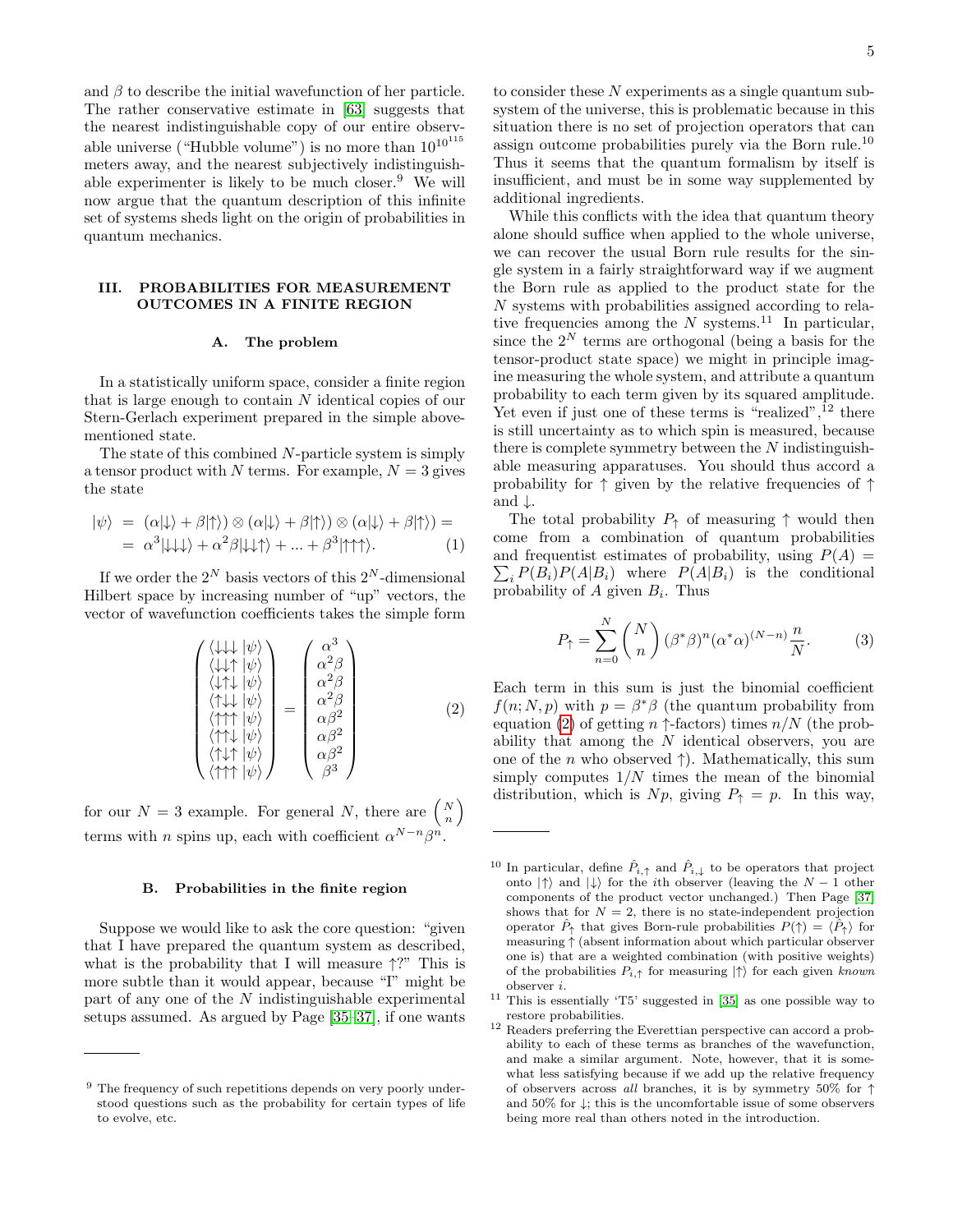and  $\beta$  to describe the initial wavefunction of her particle. The rather conservative estimate in [\[63\]](#page-16-6) suggests that the nearest indistinguishable copy of our entire observable universe ("Hubble volume") is no more than  $10^{10^{115}}\,$ meters away, and the nearest subjectively indistinguishable experimenter is likely to be much closer. $9$  We will now argue that the quantum description of this infinite set of systems sheds light on the origin of probabilities in quantum mechanics.

### <span id="page-4-0"></span>III. PROBABILITIES FOR MEASUREMENT OUTCOMES IN A FINITE REGION

#### A. The problem

In a statistically uniform space, consider a finite region that is large enough to contain  $N$  identical copies of our Stern-Gerlach experiment prepared in the simple abovementioned state.

The state of this combined N-particle system is simply a tensor product with N terms. For example,  $N = 3$  gives the state

<span id="page-4-3"></span>
$$
|\psi\rangle = (\alpha|\downarrow\rangle + \beta|\uparrow\rangle) \otimes (\alpha|\downarrow\rangle + \beta|\uparrow\rangle) \otimes (\alpha|\downarrow\rangle + \beta|\uparrow\rangle) =
$$
  
=  $\alpha^3|\downarrow\downarrow\rangle + \alpha^2\beta|\downarrow\downarrow\rangle + \dots + \beta^3|\uparrow\uparrow\uparrow\rangle.$  (1)

If we order the  $2^N$  basis vectors of this  $2^N$ -dimensional Hilbert space by increasing number of "up" vectors, the vector of wavefunction coefficients takes the simple form

<span id="page-4-1"></span>
$$
\begin{pmatrix}\n\langle \downarrow \downarrow \downarrow \uparrow | \psi \rangle \\
\langle \downarrow \downarrow \uparrow | \psi \rangle \\
\langle \uparrow \uparrow \downarrow | \psi \rangle \\
\langle \uparrow \uparrow \downarrow | \psi \rangle \\
\langle \uparrow \uparrow \downarrow | \psi \rangle \\
\langle \uparrow \uparrow \downarrow | \psi \rangle \\
\langle \uparrow \uparrow \uparrow | \psi \rangle \\
\langle \uparrow \uparrow \uparrow | \psi \rangle\n\end{pmatrix} = \begin{pmatrix}\n\alpha^3 \\
\alpha^2 \beta \\
\alpha^2 \beta \\
\alpha \beta^2 \\
\alpha \beta^2 \\
\alpha \beta^2 \\
\beta^3\n\end{pmatrix}
$$
\n(2)

for our  $N = 3$  example. For general N, there are  $\binom{N}{n}$ terms with *n* spins up, each with coefficient  $\alpha^{N-n}\beta^n$ .

#### B. Probabilities in the finite region

Suppose we would like to ask the core question: "given that I have prepared the quantum system as described, what is the probability that I will measure ↑?" This is more subtle than it would appear, because "I" might be part of any one of the  $N$  indistinguishable experimental setups assumed. As argued by Page [\[35](#page-15-28)[–37\]](#page-15-29), if one wants

to consider these  $N$  experiments as a single quantum subsystem of the universe, this is problematic because in this situation there is no set of projection operators that can assign outcome probabilities purely via the Born rule.<sup>10</sup> Thus it seems that the quantum formalism by itself is insufficient, and must be in some way supplemented by additional ingredients.

While this conflicts with the idea that quantum theory alone should suffice when applied to the whole universe, we can recover the usual Born rule results for the single system in a fairly straightforward way if we augment the Born rule as applied to the product state for the N systems with probabilities assigned according to relative frequencies among the  $N$  systems.<sup>11</sup> In particular, since the  $2^N$  terms are orthogonal (being a basis for the tensor-product state space) we might in principle imagine measuring the whole system, and attribute a quantum probability to each term given by its squared amplitude. Yet even if just one of these terms is "realized", $^{12}$  there is still uncertainty as to which spin is measured, because there is complete symmetry between the  $N$  indistinguishable measuring apparatuses. You should thus accord a probability for  $\uparrow$  given by the relative frequencies of  $\uparrow$ and  $\downarrow$ .

The total probability  $P_{\uparrow}$  of measuring  $\uparrow$  would then come from a combination of quantum probabilities and frequentist estimates of probability, using  $P(A) =$  $\sum_i P(B_i)P(A|B_i)$  where  $P(A|B_i)$  is the conditional probability of  $A$  given  $B_i$ . Thus

<span id="page-4-2"></span>
$$
P_{\uparrow} = \sum_{n=0}^{N} \binom{N}{n} (\beta^* \beta)^n (\alpha^* \alpha)^{(N-n)} \frac{n}{N}.
$$
 (3)

Each term in this sum is just the binomial coefficient  $f(n; N, p)$  with  $p = \beta^* \beta$  (the quantum probability from equation [\(2\)](#page-4-1) of getting  $n \uparrow$ -factors) times  $n/N$  (the probability that among the N identical observers, you are one of the *n* who observed  $\uparrow$ ). Mathematically, this sum simply computes  $1/N$  times the mean of the binomial distribution, which is  $N p$ , giving  $P_{\uparrow} = p$ . In this way,

<sup>9</sup> The frequency of such repetitions depends on very poorly understood questions such as the probability for certain types of life to evolve, etc.

<sup>&</sup>lt;sup>10</sup> In particular, define  $\hat{P}_{i,\uparrow}$  and  $\hat{P}_{i,\downarrow}$  to be operators that project onto  $|\uparrow\rangle$  and  $|\downarrow\rangle$  for the *i*th observer (leaving the  $N-1$  other components of the product vector unchanged.) Then Page [\[37\]](#page-15-29) shows that for  $N = 2$ , there is no state-independent projection operator  $\hat{P}_{\uparrow}$  that gives Born-rule probabilities  $P(\uparrow) = \langle \hat{P}_{\uparrow} \rangle$  for measuring ↑ (absent information about which particular observer one is) that are a weighted combination (with positive weights) of the probabilities  $P_{i,\uparrow}$  for measuring  $|\!\!\uparrow\rangle$  for each given  $\mathit{known}$ observer i.

 $^{11}$  This is essentially 'T5' suggested in  $\left[ 35\right]$  as one possible way to restore probabilities.

 $^{12}$  Readers preferring the Everettian perspective can accord a probability to each of these terms as branches of the wavefunction, and make a similar argument. Note, however, that it is somewhat less satisfying because if we add up the relative frequency of observers across all branches, it is by symmetry 50% for  $\uparrow$ and 50% for  $\downarrow$ ; this is the uncomfortable issue of some observers being more real than others noted in the introduction.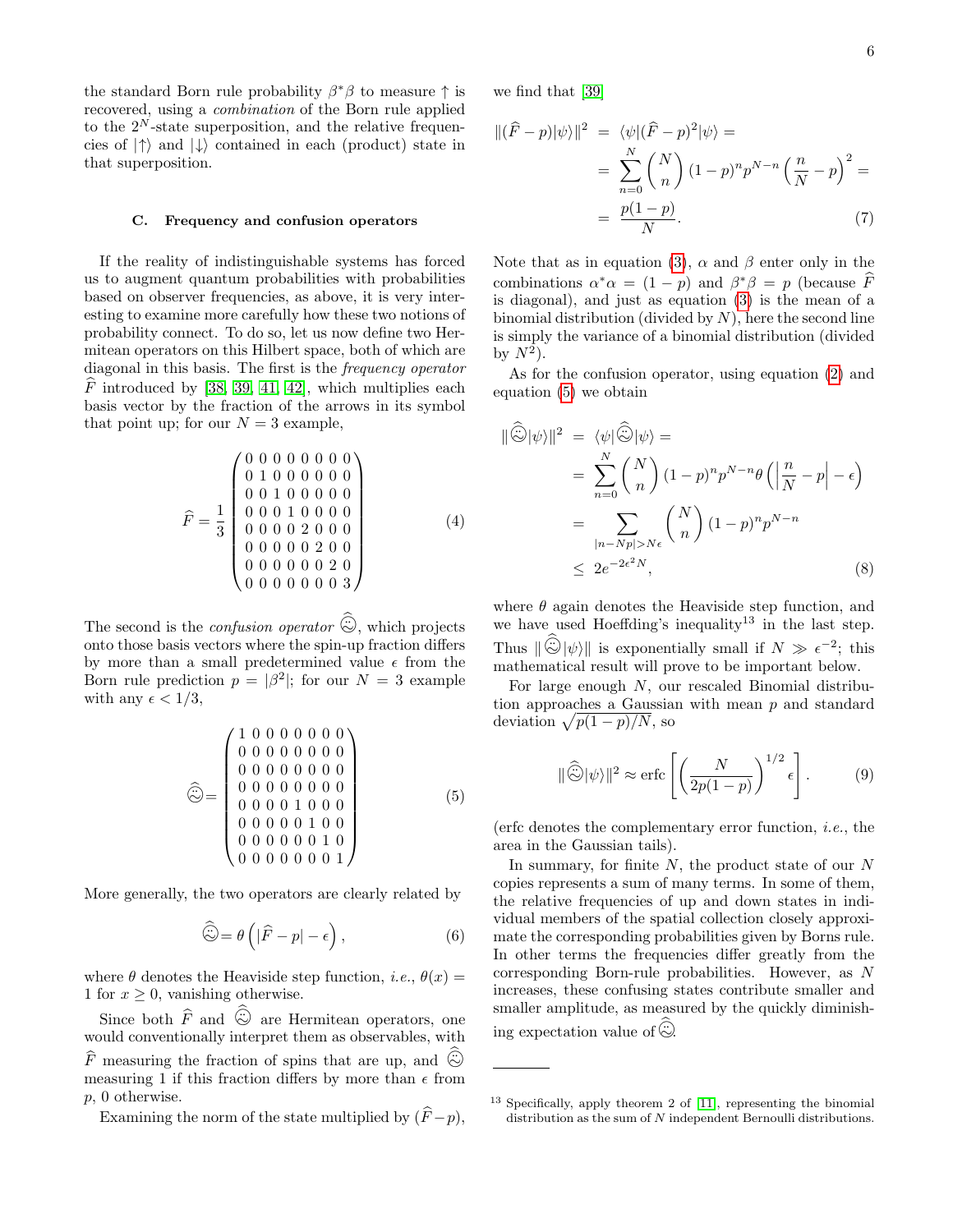the standard Born rule probability  $\beta^* \beta$  to measure  $\uparrow$  is recovered, using a combination of the Born rule applied to the  $2^N$ -state superposition, and the relative frequencies of  $|\uparrow\rangle$  and  $|\downarrow\rangle$  contained in each (product) state in that superposition.

#### C. Frequency and confusion operators

If the reality of indistinguishable systems has forced us to augment quantum probabilities with probabilities based on observer frequencies, as above, it is very interesting to examine more carefully how these two notions of probability connect. To do so, let us now define two Hermitean operators on this Hilbert space, both of which are diagonal in this basis. The first is the frequency operator  $\widehat{F}$  introduced by [\[38,](#page-15-30) [39,](#page-15-42) [41,](#page-15-43) [42\]](#page-15-31), which multiplies each basis vector by the fraction of the arrows in its symbol that point up; for our  $N = 3$  example,

<span id="page-5-4"></span>
$$
\widehat{F} = \frac{1}{3} \begin{pmatrix} 0 & 0 & 0 & 0 & 0 & 0 & 0 \\ 0 & 1 & 0 & 0 & 0 & 0 & 0 & 0 \\ 0 & 0 & 1 & 0 & 0 & 0 & 0 & 0 \\ 0 & 0 & 0 & 1 & 0 & 0 & 0 & 0 \\ 0 & 0 & 0 & 0 & 2 & 0 & 0 & 0 \\ 0 & 0 & 0 & 0 & 0 & 2 & 0 & 0 \\ 0 & 0 & 0 & 0 & 0 & 0 & 0 & 3 \end{pmatrix}
$$
(4)

The second is the *confusion operator*  $\hat{\omega}$ , which projects onto those basis vectors where the spin-up fraction differs by more than a small predetermined value  $\epsilon$  from the Born rule prediction  $p = |\beta^2|$ ; for our  $N = 3$  example with any  $\epsilon < 1/3$ ,

<span id="page-5-0"></span>
$$
\widehat{\bigodot} = \begin{pmatrix}\n1 & 0 & 0 & 0 & 0 & 0 & 0 & 0 \\
0 & 0 & 0 & 0 & 0 & 0 & 0 & 0 \\
0 & 0 & 0 & 0 & 0 & 0 & 0 & 0 \\
0 & 0 & 0 & 0 & 0 & 0 & 0 & 0 \\
0 & 0 & 0 & 0 & 1 & 0 & 0 & 0 \\
0 & 0 & 0 & 0 & 0 & 1 & 0 & 0 \\
0 & 0 & 0 & 0 & 0 & 0 & 1 & 0 \\
0 & 0 & 0 & 0 & 0 & 0 & 1 & 0\n\end{pmatrix} (5)
$$

More generally, the two operators are clearly related by

<span id="page-5-2"></span>
$$
\widehat{\widehat{\mathbb{S}}} = \theta\left(|\widehat{F} - p| - \epsilon\right),\tag{6}
$$

where  $\theta$  denotes the Heaviside step function, *i.e.*,  $\theta(x)$  = 1 for  $x \geq 0$ , vanishing otherwise.

Since both  $\widehat{F}$  and  $\widehat{\otimes}$  are Hermitean operators, one would conventionally interpret them as observables, with  $\widehat{F}$  measuring the fraction of spins that are up, and  $\widehat{\otimes}$ measuring 1 if this fraction differs by more than  $\epsilon$  from p, 0 otherwise.

Examining the norm of the state multiplied by  $(\widehat{F}-p)$ ,

we find that [\[39\]](#page-15-42)

<span id="page-5-1"></span>
$$
\begin{aligned} ||(\widehat{F} - p)|\psi\rangle||^2 &= \langle \psi |(\widehat{F} - p)^2 | \psi \rangle = \\ &= \sum_{n=0}^N \binom{N}{n} \left(1 - p\right)^n p^{N-n} \left(\frac{n}{N} - p\right)^2 = \\ &= \frac{p(1-p)}{N} .\end{aligned} \tag{7}
$$

Note that as in equation [\(3\)](#page-4-2),  $\alpha$  and  $\beta$  enter only in the combinations  $\alpha^* \alpha = (1 - p)$  and  $\beta^* \beta = p$  (because  $\widehat{F}$ is diagonal), and just as equation [\(3\)](#page-4-2) is the mean of a binomial distribution (divided by  $N$ ), here the second line is simply the variance of a binomial distribution (divided by  $N^2$ ).

As for the confusion operator, using equation [\(2\)](#page-4-1) and equation [\(5\)](#page-5-0) we obtain

<span id="page-5-3"></span>
$$
\|\widehat{\odot}|\psi\rangle\|^2 = \langle\psi|\widehat{\odot}|\psi\rangle =
$$
  
= 
$$
\sum_{n=0}^{N} {N \choose n} (1-p)^n p^{N-n} \theta\left(\left|\frac{n}{N} - p\right| - \epsilon\right)
$$
  
= 
$$
\sum_{|n - Np| > N\epsilon} {N \choose n} (1-p)^n p^{N-n}
$$
  

$$
\leq 2e^{-2\epsilon^2 N}, \qquad (8)
$$

where  $\theta$  again denotes the Heaviside step function, and we have used Hoeffding's inequality<sup>13</sup> in the last step. Thus  $\|\widehat{\otimes}|\psi\rangle\|$  is exponentially small if  $N \gg \epsilon^{-2}$ ; this mathematical result will prove to be important below.

For large enough  $N$ , our rescaled Binomial distribution approaches a Gaussian with mean p and standard deviation  $\sqrt{p(1-p)/N}$ , so

$$
\|\widehat{\bigodot}|\psi\rangle\|^2 \approx \text{erfc}\left[\left(\frac{N}{2p(1-p)}\right)^{1/2}\epsilon\right].\tag{9}
$$

(erfc denotes the complementary error function, i.e., the area in the Gaussian tails).

In summary, for finite  $N$ , the product state of our  $N$ copies represents a sum of many terms. In some of them, the relative frequencies of up and down states in individual members of the spatial collection closely approximate the corresponding probabilities given by Borns rule. In other terms the frequencies differ greatly from the corresponding Born-rule probabilities. However, as N increases, these confusing states contribute smaller and smaller amplitude, as measured by the quickly diminishing expectation value of  $\hat{\odot}$ .

<sup>13</sup> Specifically, apply theorem 2 of [\[11\]](#page-15-44), representing the binomial distribution as the sum of N independent Bernoulli distributions.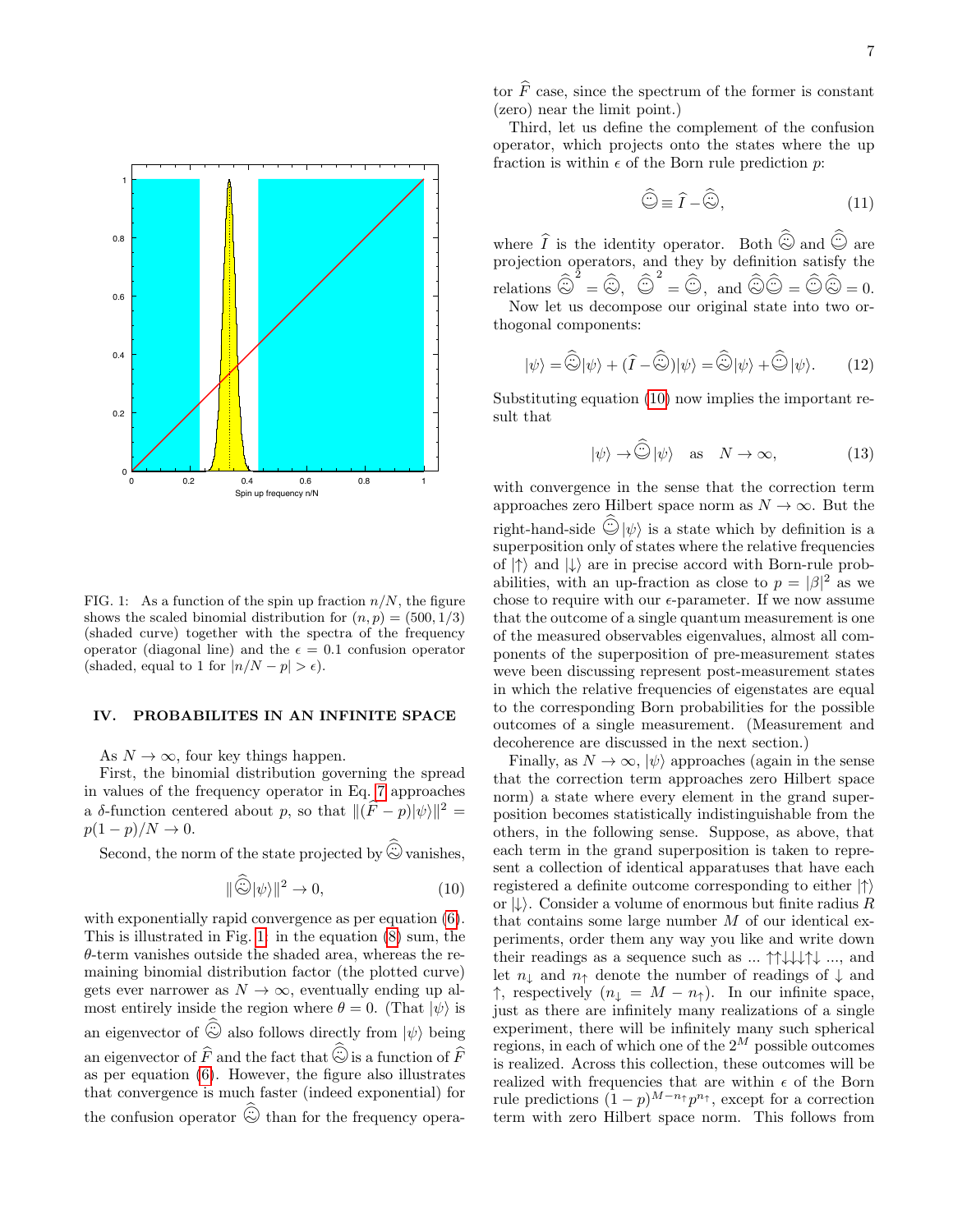

<span id="page-6-1"></span>FIG. 1: As a function of the spin up fraction  $n/N$ , the figure shows the scaled binomial distribution for  $(n, p) = (500, 1/3)$ (shaded curve) together with the spectra of the frequency operator (diagonal line) and the  $\epsilon = 0.1$  confusion operator (shaded, equal to 1 for  $|n/N - p| > \epsilon$ ).

### <span id="page-6-0"></span>IV. PROBABILITES IN AN INFINITE SPACE

As  $N \to \infty$ , four key things happen.

First, the binomial distribution governing the spread in values of the frequency operator in Eq. [7](#page-5-1) approaches a δ-function centered about p, so that  $\|(\widehat{F}-p)|\psi\rangle\|^2 =$  $p(1-p)/N \to 0.$ 

Second, the norm of the state projected by  $\widehat{\odot}$  vanishes,

<span id="page-6-2"></span>
$$
\|\widehat{\odot}|\psi\rangle\|^2 \to 0,\tag{10}
$$

with exponentially rapid convergence as per equation  $(6)$ . This is illustrated in Fig. [1:](#page-6-1) in the equation [\(8\)](#page-5-3) sum, the θ-term vanishes outside the shaded area, whereas the remaining binomial distribution factor (the plotted curve) gets ever narrower as  $N \to \infty$ , eventually ending up almost entirely inside the region where  $\theta = 0$ . (That  $|\psi\rangle$  is an eigenvector of  $\mathbb{Q}$  also follows directly from  $|\psi\rangle$  being an eigenvector of  $\widehat{F}$  and the fact that  $\widehat{\heartsuit}$  is a function of  $\widehat{F}$ as per equation [\(6\)](#page-5-2). However, the figure also illustrates that convergence is much faster (indeed exponential) for the confusion operator  $\widehat{\odot}$  than for the frequency operator  $\hat{F}$  case, since the spectrum of the former is constant (zero) near the limit point.)

Third, let us define the complement of the confusion operator, which projects onto the states where the up fraction is within  $\epsilon$  of the Born rule prediction p:

$$
\widehat{\mathbb{O}} \equiv \widehat{I} - \widehat{\mathbb{O}},\tag{11}
$$

where  $\widehat{I}$  is the identity operator. Both  $\widehat{\odot}$  and  $\widehat{\odot}$  are projection operators, and they by definition satisfy the relations  $\widehat{\widehat{\otimes}}^2 = \widehat{\widehat{\otimes}}$ ,  $\widehat{\widehat{\otimes}}^2 = \widehat{\widehat{\otimes}}$ , and  $\widehat{\widehat{\otimes}} \widehat{\widehat{\otimes}} = \widehat{\widehat{\otimes}} \widehat{\widehat{\otimes}} = 0$ . Now let us decompose our original state into two orthogonal components:

$$
|\psi\rangle = \widehat{\hat{\otimes}} |\psi\rangle + (\widehat{I} - \widehat{\hat{\otimes}})|\psi\rangle = \widehat{\hat{\otimes}} |\psi\rangle + \widehat{\hat{\otimes}} |\psi\rangle. \tag{12}
$$

Substituting equation [\(10\)](#page-6-2) now implies the important result that

$$
|\psi\rangle \to \widehat{\mathbb{O}}|\psi\rangle \quad \text{as} \quad N \to \infty,\tag{13}
$$

with convergence in the sense that the correction term approaches zero Hilbert space norm as  $N \to \infty$ . But the right-hand-side  $\mathcal{O}|\psi\rangle$  is a state which by definition is a superposition only of states where the relative frequencies of  $|\uparrow\rangle$  and  $|\downarrow\rangle$  are in precise accord with Born-rule probabilities, with an up-fraction as close to  $p = |\beta|^2$  as we chose to require with our  $\epsilon$ -parameter. If we now assume that the outcome of a single quantum measurement is one of the measured observables eigenvalues, almost all components of the superposition of pre-measurement states weve been discussing represent post-measurement states in which the relative frequencies of eigenstates are equal to the corresponding Born probabilities for the possible outcomes of a single measurement. (Measurement and decoherence are discussed in the next section.)

Finally, as  $N \to \infty$ ,  $|\psi\rangle$  approaches (again in the sense that the correction term approaches zero Hilbert space norm) a state where every element in the grand superposition becomes statistically indistinguishable from the others, in the following sense. Suppose, as above, that each term in the grand superposition is taken to represent a collection of identical apparatuses that have each registered a definite outcome corresponding to either  $|\uparrow\rangle$ or  $|\downarrow\rangle$ . Consider a volume of enormous but finite radius R that contains some large number  $M$  of our identical experiments, order them any way you like and write down their readings as a sequence such as  $\dots \uparrow \uparrow \downarrow \downarrow \uparrow \downarrow \dots$ , and let  $n_{\perp}$  and  $n_{\uparrow}$  denote the number of readings of  $\downarrow$  and  $\uparrow$ , respectively  $(n_{\downarrow} = M - n_{\uparrow})$ . In our infinite space, just as there are infinitely many realizations of a single experiment, there will be infinitely many such spherical regions, in each of which one of the  $2^M$  possible outcomes is realized. Across this collection, these outcomes will be realized with frequencies that are within  $\epsilon$  of the Born rule predictions  $(1-p)^{M-n_{\uparrow}}p^{n_{\uparrow}}$ , except for a correction term with zero Hilbert space norm. This follows from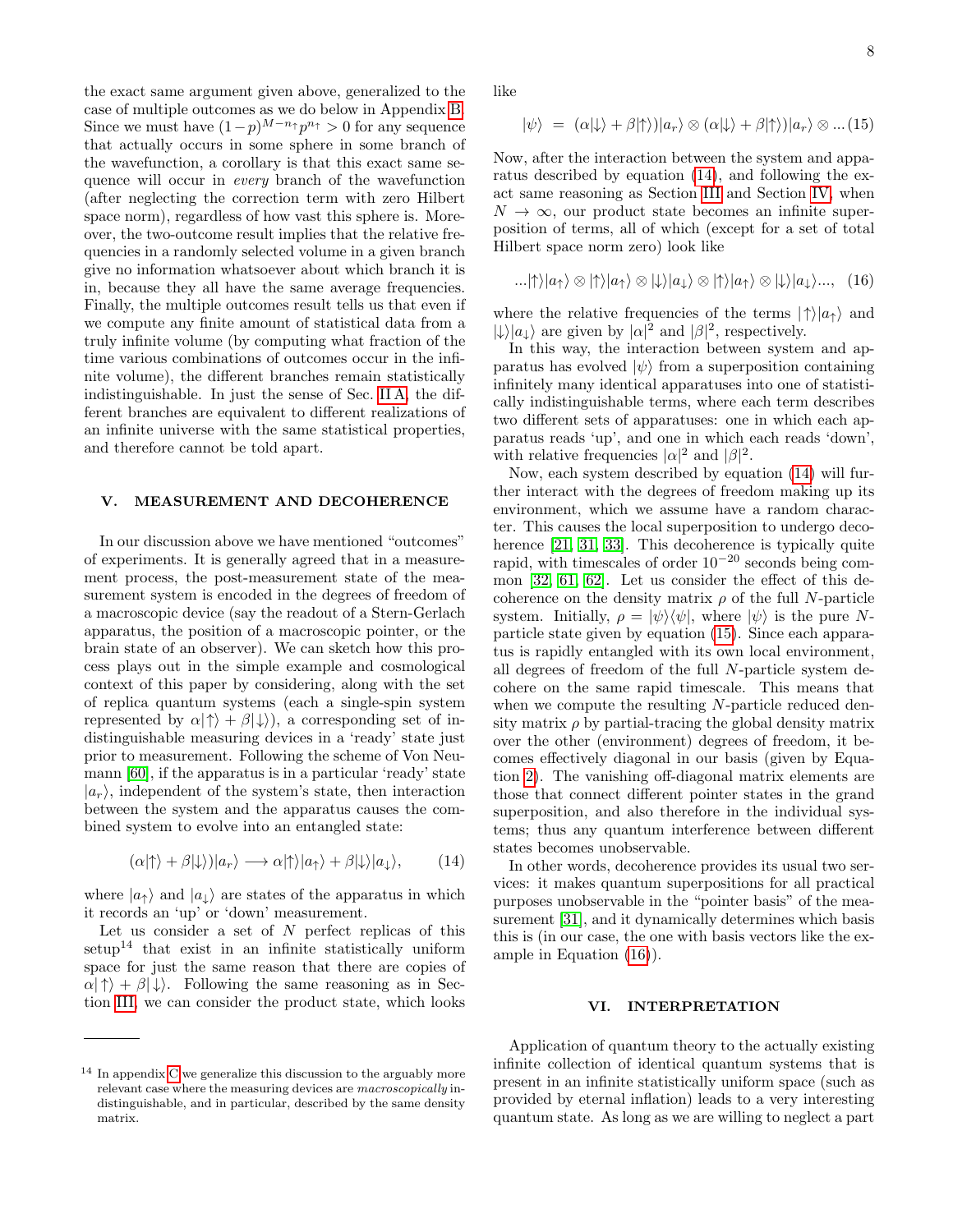the exact same argument given above, generalized to the case of multiple outcomes as we do below in Appendix [B.](#page-12-0) Since we must have  $(1-p)^{M-n_{\uparrow}}p^{n_{\uparrow}}>0$  for any sequence that actually occurs in some sphere in some branch of the wavefunction, a corollary is that this exact same sequence will occur in every branch of the wavefunction (after neglecting the correction term with zero Hilbert space norm), regardless of how vast this sphere is. Moreover, the two-outcome result implies that the relative frequencies in a randomly selected volume in a given branch give no information whatsoever about which branch it is in, because they all have the same average frequencies. Finally, the multiple outcomes result tells us that even if we compute any finite amount of statistical data from a truly infinite volume (by computing what fraction of the time various combinations of outcomes occur in the infinite volume), the different branches remain statistically indistinguishable. In just the sense of Sec. [II A,](#page-1-1) the different branches are equivalent to different realizations of an infinite universe with the same statistical properties, and therefore cannot be told apart.

#### <span id="page-7-0"></span>V. MEASUREMENT AND DECOHERENCE

In our discussion above we have mentioned "outcomes" of experiments. It is generally agreed that in a measurement process, the post-measurement state of the measurement system is encoded in the degrees of freedom of a macroscopic device (say the readout of a Stern-Gerlach apparatus, the position of a macroscopic pointer, or the brain state of an observer). We can sketch how this process plays out in the simple example and cosmological context of this paper by considering, along with the set of replica quantum systems (each a single-spin system represented by  $\alpha|\uparrow\rangle + \beta|\downarrow\rangle$ , a corresponding set of indistinguishable measuring devices in a 'ready' state just prior to measurement. Following the scheme of Von Neumann [\[60\]](#page-16-7), if the apparatus is in a particular 'ready' state  $|a_r\rangle$ , independent of the system's state, then interaction between the system and the apparatus causes the combined system to evolve into an entangled state:

<span id="page-7-2"></span>
$$
(\alpha|\uparrow\rangle + \beta|\downarrow\rangle)|a_r\rangle \longrightarrow \alpha|\uparrow\rangle|a_{\uparrow}\rangle + \beta|\downarrow\rangle|a_{\downarrow}\rangle, \qquad (14)
$$

where  $|a_{\uparrow}\rangle$  and  $|a_{\downarrow}\rangle$  are states of the apparatus in which it records an 'up' or 'down' measurement.

Let us consider a set of  $N$  perfect replicas of this  $setup<sup>14</sup>$  that exist in an infinite statistically uniform space for just the same reason that there are copies of  $\alpha(\uparrow) + \beta(\downarrow)$ . Following the same reasoning as in Section [III,](#page-4-0) we can consider the product state, which looks

like

<span id="page-7-3"></span>
$$
|\psi\rangle = (\alpha|\downarrow\rangle + \beta|\uparrow\rangle)|a_r\rangle \otimes (\alpha|\downarrow\rangle + \beta|\uparrow\rangle)|a_r\rangle \otimes ... (15)
$$

Now, after the interaction between the system and apparatus described by equation [\(14\)](#page-7-2), and following the exact same reasoning as Section [III](#page-4-0) and Section [IV,](#page-6-0) when  $N \to \infty$ , our product state becomes an infinite superposition of terms, all of which (except for a set of total Hilbert space norm zero) look like

<span id="page-7-4"></span>
$$
\dots |\!\!\uparrow\rangle|a_{\uparrow}\rangle \otimes |\!\!\uparrow\rangle|a_{\uparrow}\rangle \otimes |\!\!\downarrow\rangle|a_{\downarrow}\rangle \otimes |\!\!\uparrow\rangle|a_{\uparrow}\rangle \otimes |\!\!\downarrow\rangle|a_{\downarrow}\rangle \dots, \quad (16)
$$

where the relative frequencies of the terms  $|\uparrow\rangle|a_{\uparrow}\rangle$  and  $|\downarrow\rangle|a_{\downarrow}\rangle$  are given by  $|\alpha|^2$  and  $|\beta|^2$ , respectively.

In this way, the interaction between system and apparatus has evolved  $|\psi\rangle$  from a superposition containing infinitely many identical apparatuses into one of statistically indistinguishable terms, where each term describes two different sets of apparatuses: one in which each apparatus reads 'up', and one in which each reads 'down', with relative frequencies  $|\alpha|^2$  and  $|\beta|^2$ .

Now, each system described by equation [\(14\)](#page-7-2) will further interact with the degrees of freedom making up its environment, which we assume have a random character. This causes the local superposition to undergo deco-herence [\[21,](#page-15-15) [31,](#page-15-25) [33\]](#page-15-26). This decoherence is typically quite rapid, with timescales of order 10<sup>−</sup><sup>20</sup> seconds being common [\[32,](#page-15-45) [61,](#page-16-8) [62\]](#page-16-9). Let us consider the effect of this decoherence on the density matrix  $\rho$  of the full N-particle system. Initially,  $\rho = |\psi\rangle\langle\psi|$ , where  $|\psi\rangle$  is the pure Nparticle state given by equation [\(15\)](#page-7-3). Since each apparatus is rapidly entangled with its own local environment, all degrees of freedom of the full N-particle system decohere on the same rapid timescale. This means that when we compute the resulting N-particle reduced density matrix  $\rho$  by partial-tracing the global density matrix over the other (environment) degrees of freedom, it becomes effectively diagonal in our basis (given by Equation [2\)](#page-4-1). The vanishing off-diagonal matrix elements are those that connect different pointer states in the grand superposition, and also therefore in the individual systems; thus any quantum interference between different states becomes unobservable.

In other words, decoherence provides its usual two services: it makes quantum superpositions for all practical purposes unobservable in the "pointer basis" of the measurement [\[31\]](#page-15-25), and it dynamically determines which basis this is (in our case, the one with basis vectors like the example in Equation [\(16\)](#page-7-4)).

# <span id="page-7-1"></span>VI. INTERPRETATION

Application of quantum theory to the actually existing infinite collection of identical quantum systems that is present in an infinite statistically uniform space (such as provided by eternal inflation) leads to a very interesting quantum state. As long as we are willing to neglect a part

<sup>&</sup>lt;sup>14</sup> In appendix [C](#page-14-0) we generalize this discussion to the arguably more relevant case where the measuring devices are macroscopically indistinguishable, and in particular, described by the same density matrix.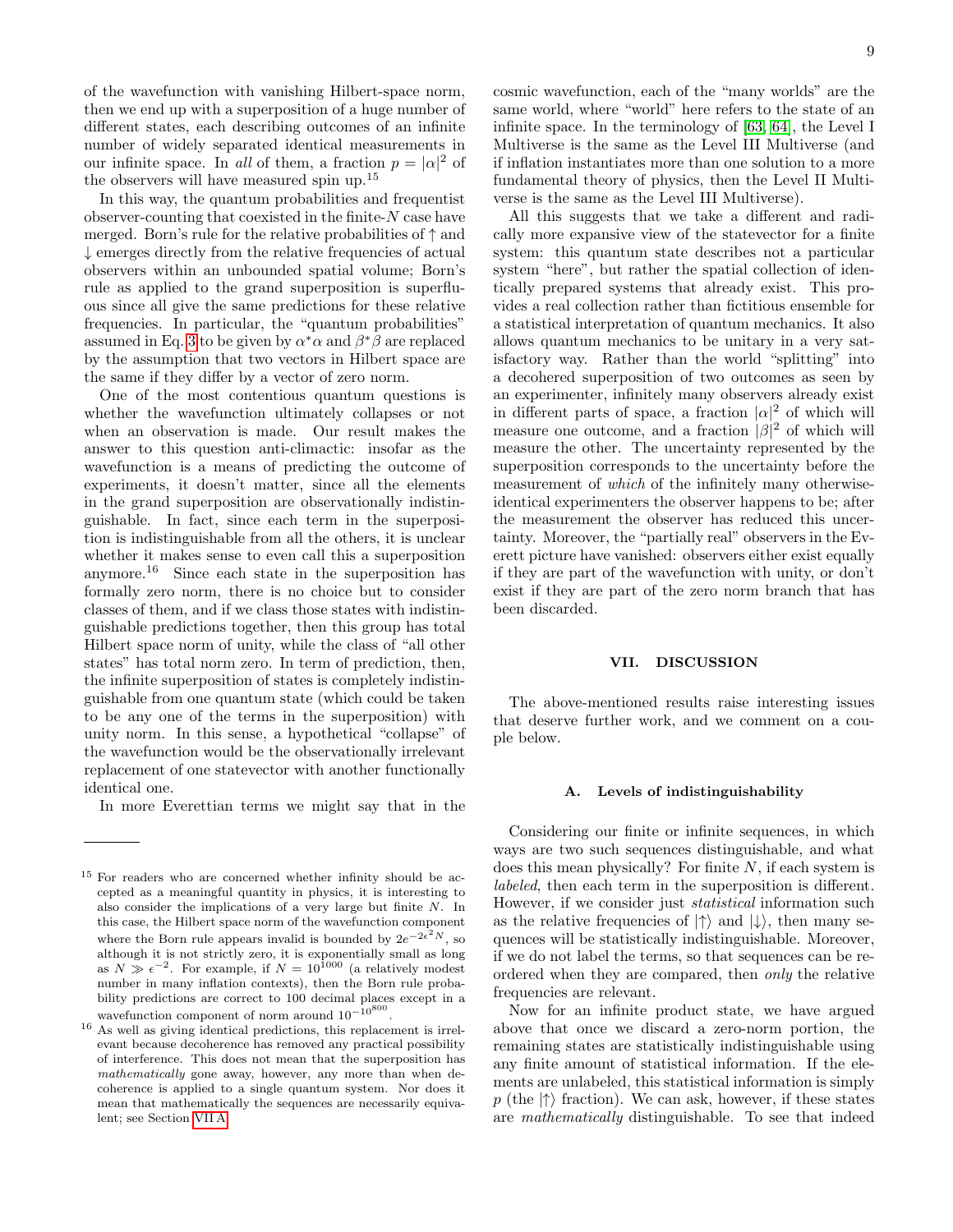of the wavefunction with vanishing Hilbert-space norm, then we end up with a superposition of a huge number of different states, each describing outcomes of an infinite number of widely separated identical measurements in our infinite space. In all of them, a fraction  $p = |\alpha|^2$  of the observers will have measured spin up.<sup>15</sup>

In this way, the quantum probabilities and frequentist observer-counting that coexisted in the finite-N case have merged. Born's rule for the relative probabilities of ↑ and  $\downarrow$  emerges directly from the relative frequencies of actual observers within an unbounded spatial volume; Born's rule as applied to the grand superposition is superfluous since all give the same predictions for these relative frequencies. In particular, the "quantum probabilities" assumed in Eq. [3](#page-4-2) to be given by  $\alpha^*\alpha$  and  $\beta^*\beta$  are replaced by the assumption that two vectors in Hilbert space are the same if they differ by a vector of zero norm.

One of the most contentious quantum questions is whether the wavefunction ultimately collapses or not when an observation is made. Our result makes the answer to this question anti-climactic: insofar as the wavefunction is a means of predicting the outcome of experiments, it doesn't matter, since all the elements in the grand superposition are observationally indistinguishable. In fact, since each term in the superposition is indistinguishable from all the others, it is unclear whether it makes sense to even call this a superposition anymore.<sup>16</sup> Since each state in the superposition has formally zero norm, there is no choice but to consider classes of them, and if we class those states with indistinguishable predictions together, then this group has total Hilbert space norm of unity, while the class of "all other states" has total norm zero. In term of prediction, then, the infinite superposition of states is completely indistinguishable from one quantum state (which could be taken to be any one of the terms in the superposition) with unity norm. In this sense, a hypothetical "collapse" of the wavefunction would be the observationally irrelevant replacement of one statevector with another functionally identical one.

In more Everettian terms we might say that in the

cosmic wavefunction, each of the "many worlds" are the same world, where "world" here refers to the state of an infinite space. In the terminology of [\[63,](#page-16-6) [64\]](#page-16-10), the Level I Multiverse is the same as the Level III Multiverse (and if inflation instantiates more than one solution to a more fundamental theory of physics, then the Level II Multiverse is the same as the Level III Multiverse).

All this suggests that we take a different and radically more expansive view of the statevector for a finite system: this quantum state describes not a particular system "here", but rather the spatial collection of identically prepared systems that already exist. This provides a real collection rather than fictitious ensemble for a statistical interpretation of quantum mechanics. It also allows quantum mechanics to be unitary in a very satisfactory way. Rather than the world "splitting" into a decohered superposition of two outcomes as seen by an experimenter, infinitely many observers already exist in different parts of space, a fraction  $|\alpha|^2$  of which will measure one outcome, and a fraction  $|\beta|^2$  of which will measure the other. The uncertainty represented by the superposition corresponds to the uncertainty before the measurement of which of the infinitely many otherwiseidentical experimenters the observer happens to be; after the measurement the observer has reduced this uncertainty. Moreover, the "partially real" observers in the Everett picture have vanished: observers either exist equally if they are part of the wavefunction with unity, or don't exist if they are part of the zero norm branch that has been discarded.

### <span id="page-8-0"></span>VII. DISCUSSION

The above-mentioned results raise interesting issues that deserve further work, and we comment on a couple below.

#### <span id="page-8-1"></span>A. Levels of indistinguishability

Considering our finite or infinite sequences, in which ways are two such sequences distinguishable, and what does this mean physically? For finite  $N$ , if each system is labeled, then each term in the superposition is different. However, if we consider just *statistical* information such as the relative frequencies of  $|\uparrow\rangle$  and  $|\downarrow\rangle$ , then many sequences will be statistically indistinguishable. Moreover, if we do not label the terms, so that sequences can be reordered when they are compared, then only the relative frequencies are relevant.

Now for an infinite product state, we have argued above that once we discard a zero-norm portion, the remaining states are statistically indistinguishable using any finite amount of statistical information. If the elements are unlabeled, this statistical information is simply p (the  $\uparrow$ ) fraction). We can ask, however, if these states are mathematically distinguishable. To see that indeed

<sup>15</sup> For readers who are concerned whether infinity should be accepted as a meaningful quantity in physics, it is interesting to also consider the implications of a very large but finite  $N$ . In this case, the Hilbert space norm of the wavefunction component where the Born rule appears invalid is bounded by  $2e^{-2\epsilon^2 N}$ , so although it is not strictly zero, it is exponentially small as long as  $N \gg \epsilon^{-2}$ . For example, if  $N = 10^{1000}$  (a relatively modest number in many inflation contexts), then the Born rule probability predictions are correct to 100 decimal places except in a wavefunction component of norm around  $10^{-10^{800}}$ .

<sup>16</sup> As well as giving identical predictions, this replacement is irrelevant because decoherence has removed any practical possibility of interference. This does not mean that the superposition has mathematically gone away, however, any more than when decoherence is applied to a single quantum system. Nor does it mean that mathematically the sequences are necessarily equivalent; see Section [VII A.](#page-8-1)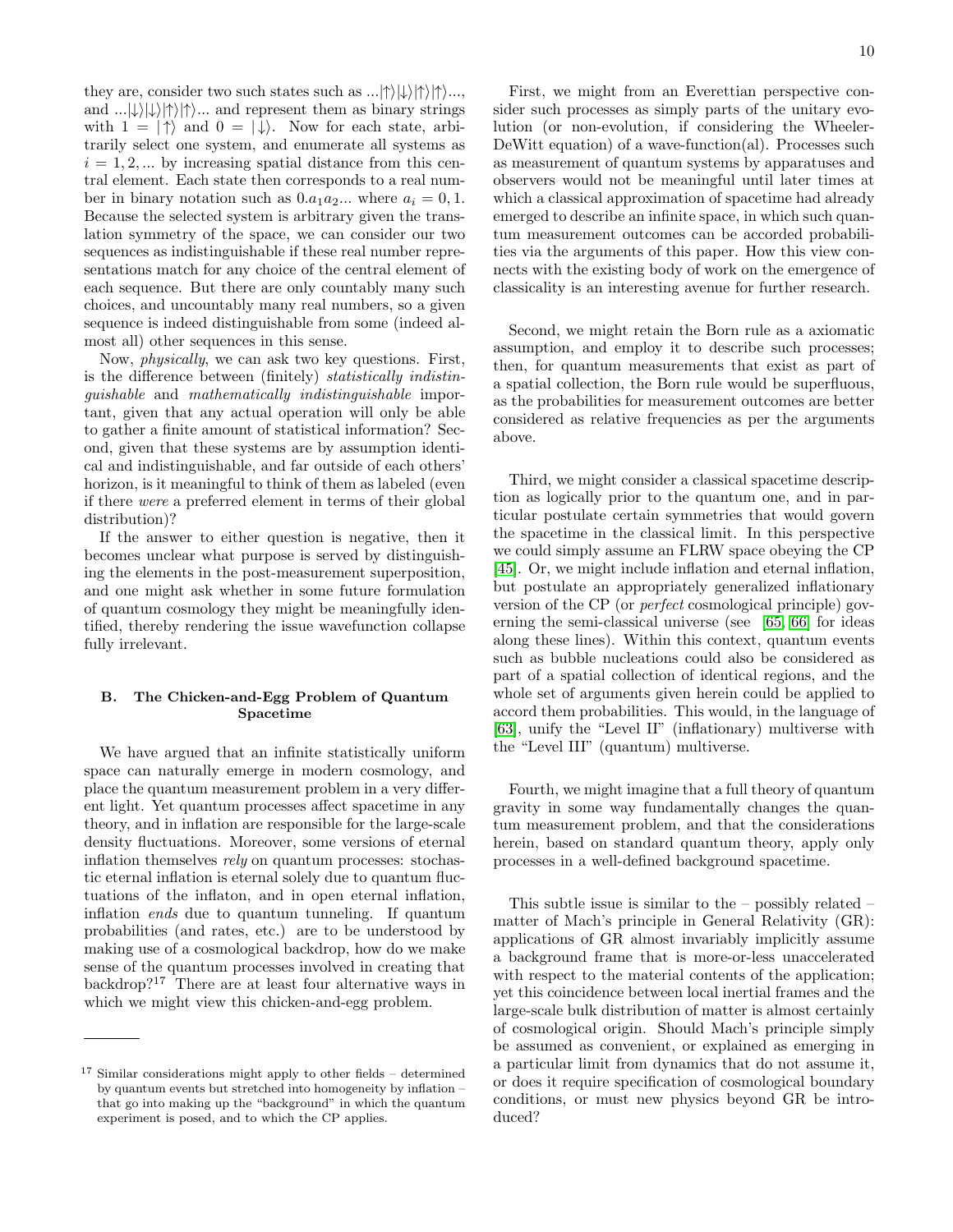they are, consider two such states such as  $\ldots|\!\!\uparrow\rangle|\!\!\downarrow\rangle|\!\!\uparrow\rangle|\!\!\uparrow\rangle\ldots$ , and  $\ldots |\downarrow\rangle |\downarrow\rangle |\uparrow\rangle$ ... and represent them as binary strings with  $1 = | \uparrow \rangle$  and  $0 = | \downarrow \rangle$ . Now for each state, arbitrarily select one system, and enumerate all systems as  $i = 1, 2, \dots$  by increasing spatial distance from this central element. Each state then corresponds to a real number in binary notation such as  $0.a_1a_2...$  where  $a_i = 0, 1$ . Because the selected system is arbitrary given the translation symmetry of the space, we can consider our two sequences as indistinguishable if these real number representations match for any choice of the central element of each sequence. But there are only countably many such choices, and uncountably many real numbers, so a given sequence is indeed distinguishable from some (indeed almost all) other sequences in this sense.

Now, physically, we can ask two key questions. First, is the difference between (finitely) statistically indistinguishable and mathematically indistinguishable important, given that any actual operation will only be able to gather a finite amount of statistical information? Second, given that these systems are by assumption identical and indistinguishable, and far outside of each others' horizon, is it meaningful to think of them as labeled (even if there were a preferred element in terms of their global distribution)?

If the answer to either question is negative, then it becomes unclear what purpose is served by distinguishing the elements in the post-measurement superposition, and one might ask whether in some future formulation of quantum cosmology they might be meaningfully identified, thereby rendering the issue wavefunction collapse fully irrelevant.

### B. The Chicken-and-Egg Problem of Quantum Spacetime

We have argued that an infinite statistically uniform space can naturally emerge in modern cosmology, and place the quantum measurement problem in a very different light. Yet quantum processes affect spacetime in any theory, and in inflation are responsible for the large-scale density fluctuations. Moreover, some versions of eternal inflation themselves rely on quantum processes: stochastic eternal inflation is eternal solely due to quantum fluctuations of the inflaton, and in open eternal inflation, inflation ends due to quantum tunneling. If quantum probabilities (and rates, etc.) are to be understood by making use of a cosmological backdrop, how do we make sense of the quantum processes involved in creating that backdrop?<sup>17</sup> There are at least four alternative ways in which we might view this chicken-and-egg problem.

First, we might from an Everettian perspective consider such processes as simply parts of the unitary evolution (or non-evolution, if considering the Wheeler-DeWitt equation) of a wave-function(al). Processes such as measurement of quantum systems by apparatuses and observers would not be meaningful until later times at which a classical approximation of spacetime had already emerged to describe an infinite space, in which such quantum measurement outcomes can be accorded probabilities via the arguments of this paper. How this view connects with the existing body of work on the emergence of classicality is an interesting avenue for further research.

Second, we might retain the Born rule as a axiomatic assumption, and employ it to describe such processes; then, for quantum measurements that exist as part of a spatial collection, the Born rule would be superfluous, as the probabilities for measurement outcomes are better considered as relative frequencies as per the arguments above.

Third, we might consider a classical spacetime description as logically prior to the quantum one, and in particular postulate certain symmetries that would govern the spacetime in the classical limit. In this perspective we could simply assume an FLRW space obeying the CP [\[45\]](#page-15-33). Or, we might include inflation and eternal inflation, but postulate an appropriately generalized inflationary version of the CP (or perfect cosmological principle) governing the semi-classical universe (see [\[65,](#page-16-11) [66\]](#page-16-12) for ideas along these lines). Within this context, quantum events such as bubble nucleations could also be considered as part of a spatial collection of identical regions, and the whole set of arguments given herein could be applied to accord them probabilities. This would, in the language of [\[63\]](#page-16-6), unify the "Level II" (inflationary) multiverse with the "Level III" (quantum) multiverse.

Fourth, we might imagine that a full theory of quantum gravity in some way fundamentally changes the quantum measurement problem, and that the considerations herein, based on standard quantum theory, apply only processes in a well-defined background spacetime.

This subtle issue is similar to the – possibly related – matter of Mach's principle in General Relativity (GR): applications of GR almost invariably implicitly assume a background frame that is more-or-less unaccelerated with respect to the material contents of the application; yet this coincidence between local inertial frames and the large-scale bulk distribution of matter is almost certainly of cosmological origin. Should Mach's principle simply be assumed as convenient, or explained as emerging in a particular limit from dynamics that do not assume it, or does it require specification of cosmological boundary conditions, or must new physics beyond GR be introduced?

<sup>17</sup> Similar considerations might apply to other fields – determined by quantum events but stretched into homogeneity by inflation – that go into making up the "background" in which the quantum experiment is posed, and to which the CP applies.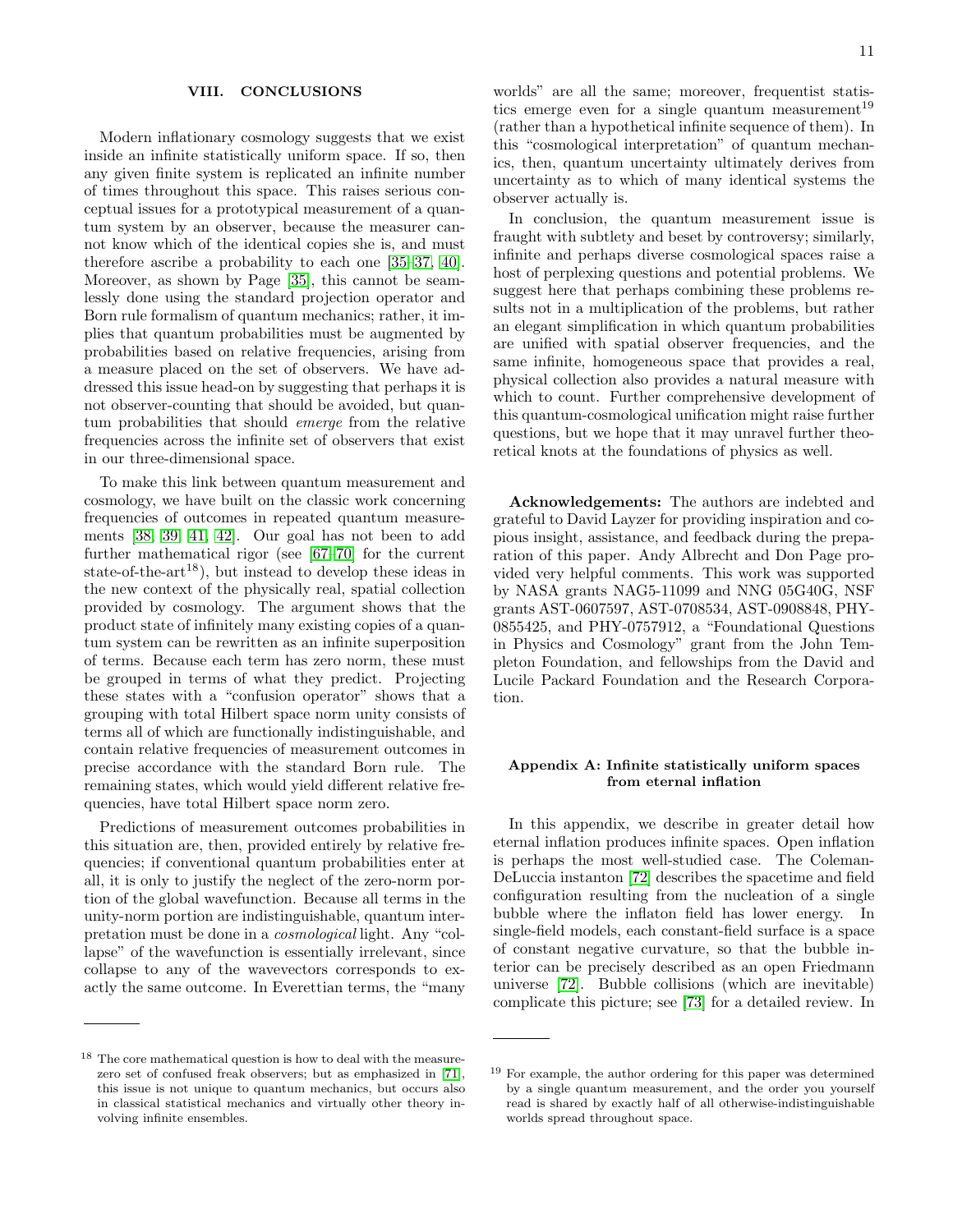### <span id="page-10-0"></span>VIII. CONCLUSIONS

Modern inflationary cosmology suggests that we exist inside an infinite statistically uniform space. If so, then any given finite system is replicated an infinite number of times throughout this space. This raises serious conceptual issues for a prototypical measurement of a quantum system by an observer, because the measurer cannot know which of the identical copies she is, and must therefore ascribe a probability to each one [\[35–](#page-15-28)[37,](#page-15-29) [40\]](#page-15-46). Moreover, as shown by Page [\[35\]](#page-15-28), this cannot be seamlessly done using the standard projection operator and Born rule formalism of quantum mechanics; rather, it implies that quantum probabilities must be augmented by probabilities based on relative frequencies, arising from a measure placed on the set of observers. We have addressed this issue head-on by suggesting that perhaps it is not observer-counting that should be avoided, but quantum probabilities that should emerge from the relative frequencies across the infinite set of observers that exist in our three-dimensional space.

To make this link between quantum measurement and cosmology, we have built on the classic work concerning frequencies of outcomes in repeated quantum measurements [\[38,](#page-15-30) [39,](#page-15-42) [41,](#page-15-43) [42\]](#page-15-31). Our goal has not been to add further mathematical rigor (see [\[67–](#page-16-13)[70\]](#page-16-14) for the current state-of-the- $art^{18}$ , but instead to develop these ideas in the new context of the physically real, spatial collection provided by cosmology. The argument shows that the product state of infinitely many existing copies of a quantum system can be rewritten as an infinite superposition of terms. Because each term has zero norm, these must be grouped in terms of what they predict. Projecting these states with a "confusion operator" shows that a grouping with total Hilbert space norm unity consists of terms all of which are functionally indistinguishable, and contain relative frequencies of measurement outcomes in precise accordance with the standard Born rule. The remaining states, which would yield different relative frequencies, have total Hilbert space norm zero.

Predictions of measurement outcomes probabilities in this situation are, then, provided entirely by relative frequencies; if conventional quantum probabilities enter at all, it is only to justify the neglect of the zero-norm portion of the global wavefunction. Because all terms in the unity-norm portion are indistinguishable, quantum interpretation must be done in a cosmological light. Any "collapse" of the wavefunction is essentially irrelevant, since collapse to any of the wavevectors corresponds to exactly the same outcome. In Everettian terms, the "many

<sup>18</sup> The core mathematical question is how to deal with the measurezero set of confused freak observers; but as emphasized in [\[71\]](#page-16-15), this issue is not unique to quantum mechanics, but occurs also in classical statistical mechanics and virtually other theory involving infinite ensembles.

worlds" are all the same; moreover, frequentist statistics emerge even for a single quantum measurement<sup>19</sup> (rather than a hypothetical infinite sequence of them). In this "cosmological interpretation" of quantum mechanics, then, quantum uncertainty ultimately derives from uncertainty as to which of many identical systems the observer actually is.

In conclusion, the quantum measurement issue is fraught with subtlety and beset by controversy; similarly, infinite and perhaps diverse cosmological spaces raise a host of perplexing questions and potential problems. We suggest here that perhaps combining these problems results not in a multiplication of the problems, but rather an elegant simplification in which quantum probabilities are unified with spatial observer frequencies, and the same infinite, homogeneous space that provides a real, physical collection also provides a natural measure with which to count. Further comprehensive development of this quantum-cosmological unification might raise further questions, but we hope that it may unravel further theoretical knots at the foundations of physics as well.

Acknowledgements: The authors are indebted and grateful to David Layzer for providing inspiration and copious insight, assistance, and feedback during the preparation of this paper. Andy Albrecht and Don Page provided very helpful comments. This work was supported by NASA grants NAG5-11099 and NNG 05G40G, NSF grants AST-0607597, AST-0708534, AST-0908848, PHY-0855425, and PHY-0757912, a "Foundational Questions in Physics and Cosmology" grant from the John Templeton Foundation, and fellowships from the David and Lucile Packard Foundation and the Research Corporation.

# <span id="page-10-1"></span>Appendix A: Infinite statistically uniform spaces from eternal inflation

In this appendix, we describe in greater detail how eternal inflation produces infinite spaces. Open inflation is perhaps the most well-studied case. The Coleman-DeLuccia instanton [\[72\]](#page-16-16) describes the spacetime and field configuration resulting from the nucleation of a single bubble where the inflaton field has lower energy. In single-field models, each constant-field surface is a space of constant negative curvature, so that the bubble interior can be precisely described as an open Friedmann universe [\[72\]](#page-16-16). Bubble collisions (which are inevitable) complicate this picture; see [\[73\]](#page-16-17) for a detailed review. In

<sup>19</sup> For example, the author ordering for this paper was determined by a single quantum measurement, and the order you yourself read is shared by exactly half of all otherwise-indistinguishable worlds spread throughout space.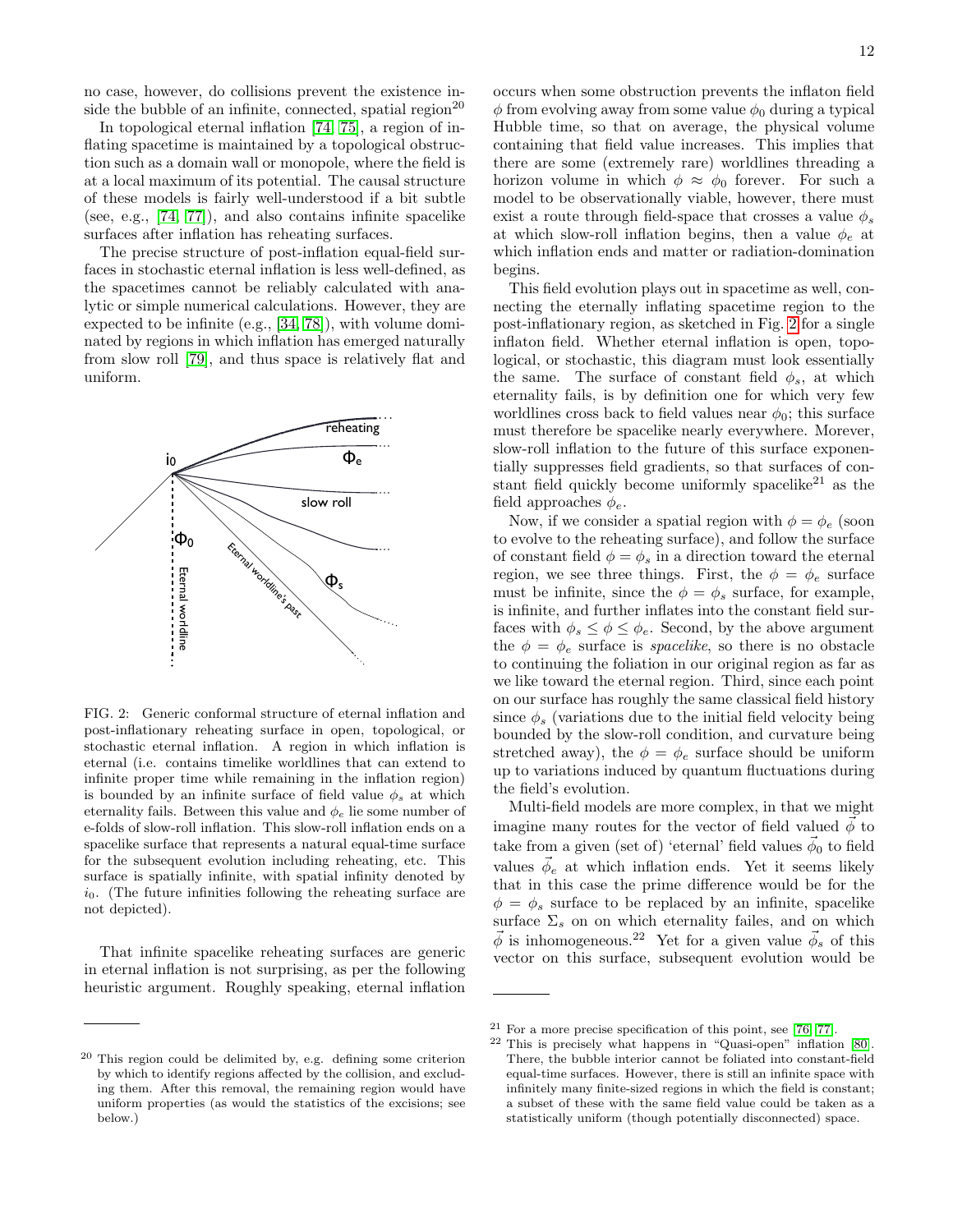no case, however, do collisions prevent the existence inside the bubble of an infinite, connected, spatial region<sup>20</sup>

In topological eternal inflation [\[74,](#page-16-18) [75\]](#page-16-19), a region of inflating spacetime is maintained by a topological obstruction such as a domain wall or monopole, where the field is at a local maximum of its potential. The causal structure of these models is fairly well-understood if a bit subtle (see, e.g., [\[74,](#page-16-18) [77\]](#page-16-20)), and also contains infinite spacelike surfaces after inflation has reheating surfaces.

The precise structure of post-inflation equal-field surfaces in stochastic eternal inflation is less well-defined, as the spacetimes cannot be reliably calculated with analytic or simple numerical calculations. However, they are expected to be infinite (e.g., [\[34,](#page-15-27) [78\]](#page-16-21)), with volume dominated by regions in which inflation has emerged naturally from slow roll [\[79\]](#page-16-22), and thus space is relatively flat and uniform.



<span id="page-11-0"></span>FIG. 2: Generic conformal structure of eternal inflation and post-inflationary reheating surface in open, topological, or stochastic eternal inflation. A region in which inflation is eternal (i.e. contains timelike worldlines that can extend to infinite proper time while remaining in the inflation region) is bounded by an infinite surface of field value  $\phi_s$  at which eternality fails. Between this value and  $\phi_e$  lie some number of e-folds of slow-roll inflation. This slow-roll inflation ends on a spacelike surface that represents a natural equal-time surface for the subsequent evolution including reheating, etc. This surface is spatially infinite, with spatial infinity denoted by  $i<sub>0</sub>$ . (The future infinities following the reheating surface are not depicted).

That infinite spacelike reheating surfaces are generic in eternal inflation is not surprising, as per the following heuristic argument. Roughly speaking, eternal inflation occurs when some obstruction prevents the inflaton field  $\phi$  from evolving away from some value  $\phi_0$  during a typical Hubble time, so that on average, the physical volume containing that field value increases. This implies that there are some (extremely rare) worldlines threading a horizon volume in which  $\phi \approx \phi_0$  forever. For such a model to be observationally viable, however, there must exist a route through field-space that crosses a value  $\phi_s$ at which slow-roll inflation begins, then a value  $\phi_e$  at which inflation ends and matter or radiation-domination begins.

This field evolution plays out in spacetime as well, connecting the eternally inflating spacetime region to the post-inflationary region, as sketched in Fig. [2](#page-11-0) for a single inflaton field. Whether eternal inflation is open, topological, or stochastic, this diagram must look essentially the same. The surface of constant field  $\phi_s$ , at which eternality fails, is by definition one for which very few worldlines cross back to field values near  $\phi_0$ ; this surface must therefore be spacelike nearly everywhere. Morever, slow-roll inflation to the future of this surface exponentially suppresses field gradients, so that surfaces of constant field quickly become uniformly spacelike<sup>21</sup> as the field approaches  $\phi_e$ .

Now, if we consider a spatial region with  $\phi = \phi_e$  (soon to evolve to the reheating surface), and follow the surface of constant field  $\phi = \phi_s$  in a direction toward the eternal region, we see three things. First, the  $\phi = \phi_e$  surface must be infinite, since the  $\phi = \phi_s$  surface, for example, is infinite, and further inflates into the constant field surfaces with  $\phi_s \leq \phi \leq \phi_e$ . Second, by the above argument the  $\phi = \phi_e$  surface is *spacelike*, so there is no obstacle to continuing the foliation in our original region as far as we like toward the eternal region. Third, since each point on our surface has roughly the same classical field history since  $\phi_s$  (variations due to the initial field velocity being bounded by the slow-roll condition, and curvature being stretched away), the  $\phi = \phi_e$  surface should be uniform up to variations induced by quantum fluctuations during the field's evolution.

Multi-field models are more complex, in that we might imagine many routes for the vector of field valued  $\vec{\phi}$  to take from a given (set of) 'eternal' field values  $\vec{\phi}_0$  to field values  $\vec{\phi}_e$  at which inflation ends. Yet it seems likely that in this case the prime difference would be for the  $\phi = \phi_s$  surface to be replaced by an infinite, spacelike surface  $\Sigma_s$  on on which eternality failes, and on which  $\vec{\phi}$  is inhomogeneous.<sup>22</sup> Yet for a given value  $\vec{\phi}_s$  of this vector on this surface, subsequent evolution would be

<sup>20</sup> This region could be delimited by, e.g. defining some criterion by which to identify regions affected by the collision, and excluding them. After this removal, the remaining region would have uniform properties (as would the statistics of the excisions; see below.)

 $21$  For a more precise specification of this point, see [\[76,](#page-16-23) [77\]](#page-16-20).

<sup>22</sup> This is precisely what happens in "Quasi-open" inflation [\[80\]](#page-16-24). There, the bubble interior cannot be foliated into constant-field equal-time surfaces. However, there is still an infinite space with infinitely many finite-sized regions in which the field is constant; a subset of these with the same field value could be taken as a statistically uniform (though potentially disconnected) space.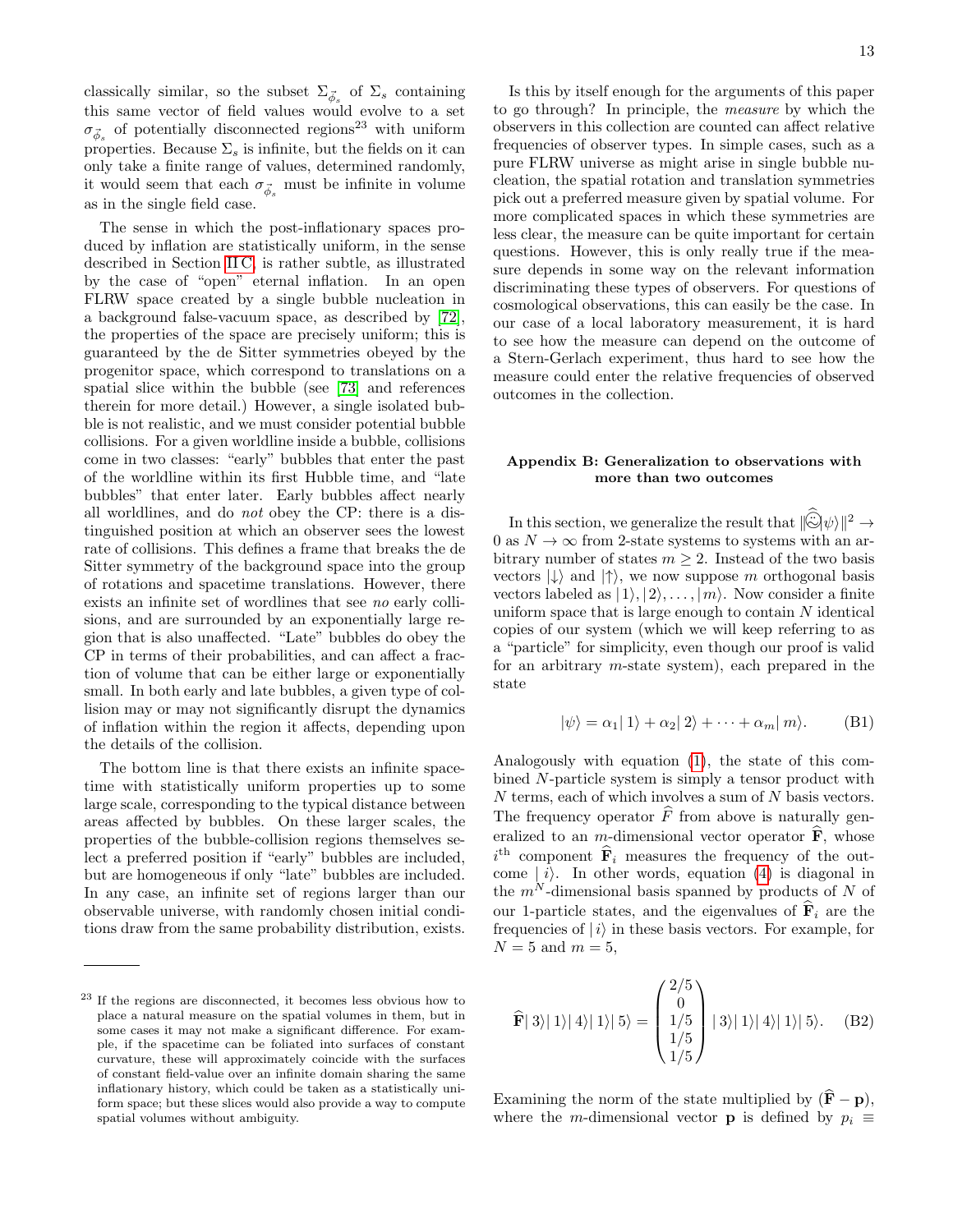classically similar, so the subset  $\Sigma_{\vec{\phi}_s}$  of  $\Sigma_s$  containing this same vector of field values would evolve to a set  $\sigma_{\vec{\phi}_s}$  of potentially disconnected regions<sup>23</sup> with uniform properties. Because  $\Sigma_s$  is infinite, but the fields on it can only take a finite range of values, determined randomly, it would seem that each  $\sigma_{\vec{\phi}_s}$  must be infinite in volume as in the single field case.

The sense in which the post-inflationary spaces produced by inflation are statistically uniform, in the sense described in Section [II C,](#page-3-1) is rather subtle, as illustrated by the case of "open" eternal inflation. In an open FLRW space created by a single bubble nucleation in a background false-vacuum space, as described by [\[72\]](#page-16-16), the properties of the space are precisely uniform; this is guaranteed by the de Sitter symmetries obeyed by the progenitor space, which correspond to translations on a spatial slice within the bubble (see [\[73\]](#page-16-17) and references therein for more detail.) However, a single isolated bubble is not realistic, and we must consider potential bubble collisions. For a given worldline inside a bubble, collisions come in two classes: "early" bubbles that enter the past of the worldline within its first Hubble time, and "late bubbles" that enter later. Early bubbles affect nearly all worldlines, and do not obey the CP: there is a distinguished position at which an observer sees the lowest rate of collisions. This defines a frame that breaks the de Sitter symmetry of the background space into the group of rotations and spacetime translations. However, there exists an infinite set of wordlines that see no early collisions, and are surrounded by an exponentially large region that is also unaffected. "Late" bubbles do obey the CP in terms of their probabilities, and can affect a fraction of volume that can be either large or exponentially small. In both early and late bubbles, a given type of collision may or may not significantly disrupt the dynamics of inflation within the region it affects, depending upon the details of the collision.

The bottom line is that there exists an infinite spacetime with statistically uniform properties up to some large scale, corresponding to the typical distance between areas affected by bubbles. On these larger scales, the properties of the bubble-collision regions themselves select a preferred position if "early" bubbles are included, but are homogeneous if only "late" bubbles are included. In any case, an infinite set of regions larger than our observable universe, with randomly chosen initial conditions draw from the same probability distribution, exists.

Is this by itself enough for the arguments of this paper to go through? In principle, the measure by which the observers in this collection are counted can affect relative frequencies of observer types. In simple cases, such as a pure FLRW universe as might arise in single bubble nucleation, the spatial rotation and translation symmetries pick out a preferred measure given by spatial volume. For more complicated spaces in which these symmetries are less clear, the measure can be quite important for certain questions. However, this is only really true if the measure depends in some way on the relevant information discriminating these types of observers. For questions of cosmological observations, this can easily be the case. In our case of a local laboratory measurement, it is hard to see how the measure can depend on the outcome of a Stern-Gerlach experiment, thus hard to see how the measure could enter the relative frequencies of observed outcomes in the collection.

# <span id="page-12-0"></span>Appendix B: Generalization to observations with more than two outcomes

In this section, we generalize the result that  $\|\widehat{\bigcirc}\|\psi\rangle\|^2\to$ 0 as  $N \to \infty$  from 2-state systems to systems with an arbitrary number of states  $m > 2$ . Instead of the two basis vectors  $|\downarrow\rangle$  and  $|\uparrow\rangle$ , we now suppose m orthogonal basis vectors labeled as  $|1\rangle, |2\rangle, \ldots, |m\rangle$ . Now consider a finite uniform space that is large enough to contain  $N$  identical copies of our system (which we will keep referring to as a "particle" for simplicity, even though our proof is valid for an arbitrary m-state system), each prepared in the state

$$
|\psi\rangle = \alpha_1 | 1\rangle + \alpha_2 | 2\rangle + \cdots + \alpha_m | m\rangle.
$$
 (B1)

Analogously with equation [\(1\)](#page-4-3), the state of this combined N-particle system is simply a tensor product with N terms, each of which involves a sum of N basis vectors. The frequency operator  $\widehat{F}$  from above is naturally generalized to an *m*-dimensional vector operator  $\mathbf{\hat{F}}$ , whose  $i^{\text{th}}$  component  $\hat{\mathbf{F}}_i$  measures the frequency of the outcome  $|i\rangle$ . In other words, equation [\(4\)](#page-5-4) is diagonal in the  $m<sup>N</sup>$ -dimensional basis spanned by products of N of our 1-particle states, and the eigenvalues of  $\mathbf{F}_i$  are the frequencies of  $|i\rangle$  in these basis vectors. For example, for  $N = 5$  and  $m = 5$ ,

<span id="page-12-1"></span>
$$
\widehat{\mathbf{F}}|3\rangle|1\rangle|4\rangle|1\rangle|5\rangle = \begin{pmatrix} 2/5\\0\\1/5\\1/5\\1/5 \end{pmatrix}|3\rangle|1\rangle|4\rangle|1\rangle|5\rangle. \quad (B2)
$$

Examining the norm of the state multiplied by  $(\hat{\mathbf{F}} - \mathbf{p})$ , where the m-dimensional vector **p** is defined by  $p_i \equiv$ 

<sup>23</sup> If the regions are disconnected, it becomes less obvious how to place a natural measure on the spatial volumes in them, but in some cases it may not make a significant difference. For example, if the spacetime can be foliated into surfaces of constant curvature, these will approximately coincide with the surfaces of constant field-value over an infinite domain sharing the same inflationary history, which could be taken as a statistically uniform space; but these slices would also provide a way to compute spatial volumes without ambiguity.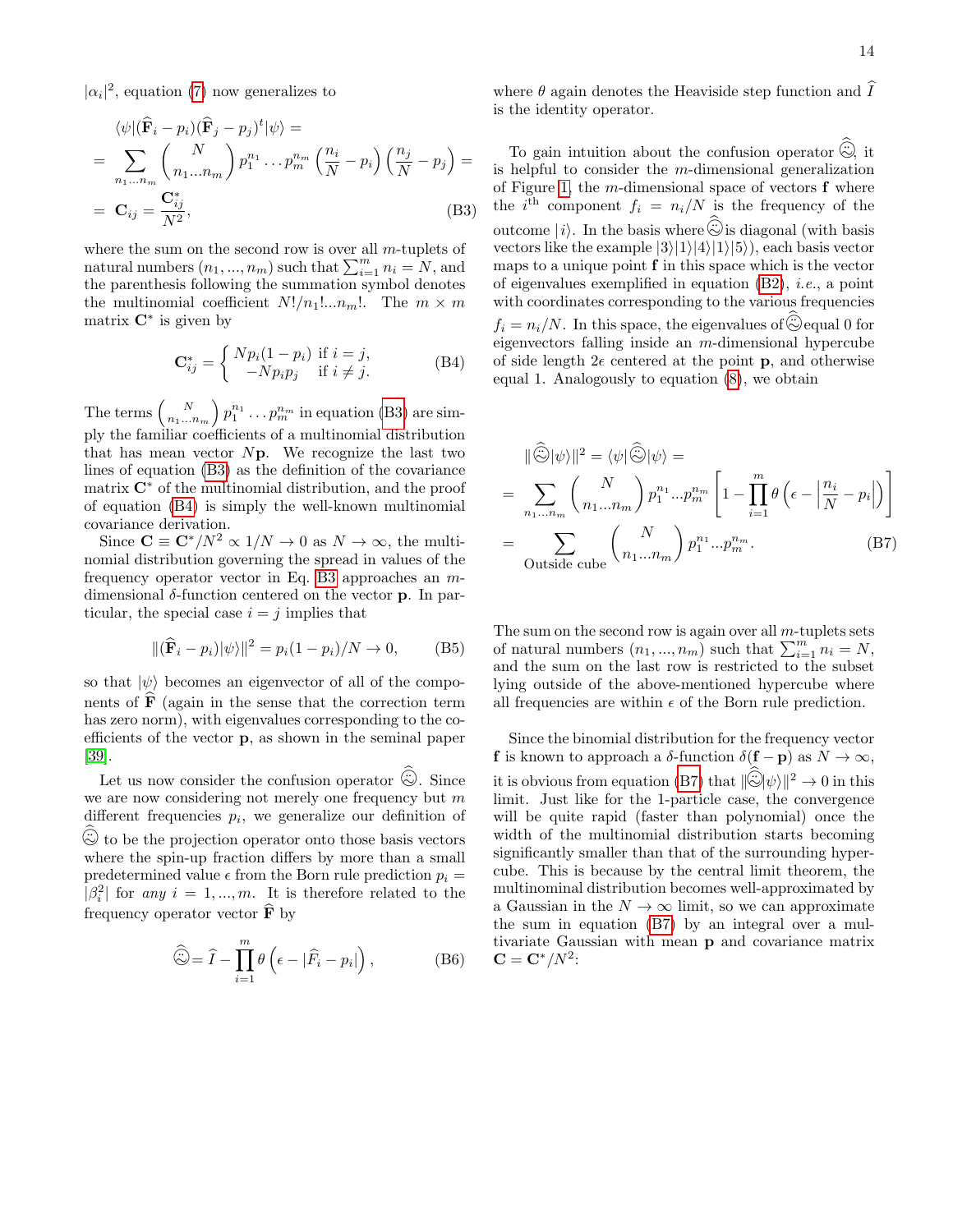$|\alpha_i|^2$ , equation [\(7\)](#page-5-1) now generalizes to

<span id="page-13-0"></span>
$$
\langle \psi | (\widehat{\mathbf{F}}_i - p_i) (\widehat{\mathbf{F}}_j - p_j)^t | \psi \rangle =
$$
  
= 
$$
\sum_{n_1...n_m} {N \choose n_1...n_m} p_1^{n_1} \cdots p_m^{n_m} (\frac{n_i}{N} - p_i) (\frac{n_j}{N} - p_j) =
$$
  
= 
$$
\mathbf{C}_{ij} = \frac{\mathbf{C}_{ij}^*}{N^2},
$$
 (B3)

where the sum on the second row is over all  $m$ -tuplets of natural numbers  $(n_1, ..., n_m)$  such that  $\sum_{i=1}^{m} n_i = N$ , and the parenthesis following the summation symbol denotes the multinomial coefficient  $N!/n_1!...n_m!$ . The  $m \times m$ matrix  $\mathbf{C}^*$  is given by

<span id="page-13-1"></span>
$$
\mathbf{C}_{ij}^* = \begin{cases} Np_i(1-p_i) & \text{if } i = j, \\ -Np_ip_j & \text{if } i \neq j. \end{cases}
$$
 (B4)

The terms  $\binom{N}{n_1...n_m} p_1^{n_1} \dots p_m^{n_m}$  in equation [\(B3\)](#page-13-0) are simply the familiar coefficients of a multinomial distribution that has mean vector  $N$ p. We recognize the last two lines of equation [\(B3\)](#page-13-0) as the definition of the covariance matrix  $\mathbb{C}^*$  of the multinomial distribution, and the proof of equation [\(B4\)](#page-13-1) is simply the well-known multinomial covariance derivation.

Since  $\mathbf{C} \equiv \mathbf{C}^*/N^2 \propto 1/N \to 0$  as  $N \to \infty$ , the multinomial distribution governing the spread in values of the frequency operator vector in Eq. [B3](#page-13-0) approaches an mdimensional δ-function centered on the vector p. In particular, the special case  $i = j$  implies that

$$
\|(\widehat{\mathbf{F}}_i - p_i)|\psi\rangle\|^2 = p_i(1 - p_i)/N \to 0,
$$
 (B5)

so that  $|\psi\rangle$  becomes an eigenvector of all of the components of  $\hat{\mathbf{F}}$  (again in the sense that the correction term has zero norm), with eigenvalues corresponding to the coefficients of the vector p, as shown in the seminal paper [\[39\]](#page-15-42).

Let us now consider the confusion operator  $\hat{\odot}$ . Since we are now considering not merely one frequency but  $m$ different frequencies  $p_i$ , we generalize our definition of ○b∼¨ to be the projection operator onto those basis vectors where the spin-up fraction differs by more than a small predetermined value  $\epsilon$  from the Born rule prediction  $p_i =$  $|\beta_i^2|$  for any  $i = 1, ..., m$ . It is therefore related to the frequency operator vector  $\hat{F}$  by

$$
\widehat{\widehat{\mathbb{Q}}} = \widehat{I} - \prod_{i=1}^{m} \theta \left( \epsilon - |\widehat{F}_i - p_i| \right), \tag{B6}
$$

where  $\theta$  again denotes the Heaviside step function and I is the identity operator.

To gain intuition about the confusion operator  $\hat{\otimes}$ , it is helpful to consider the  $m$ -dimensional generalization of Figure [1,](#page-6-1) the m-dimensional space of vectors  $f$  where the *i*<sup>th</sup> component  $f_i = n_i/N$  is the frequency of the outcome  $|i\rangle$ . In the basis where  $\widehat{\heartsuit}$  is diagonal (with basis vectors like the example  $|3\rangle|1\rangle|4\rangle|1\rangle|5\rangle$ , each basis vector maps to a unique point  $f$  in this space which is the vector of eigenvalues exemplified in equation  $(B2)$ , *i.e.*, a point with coordinates corresponding to the various frequencies  $f_i = n_i/N.$  In this space, the eigenvalues of  $\widehat{\bigotimes}$  equal 0 for eigenvectors falling inside an m-dimensional hypercube of side length  $2\epsilon$  centered at the point **p**, and otherwise equal 1. Analogously to equation [\(8\)](#page-5-3), we obtain

<span id="page-13-2"></span>
$$
\|\widehat{\odot}|\psi\rangle\|^2 = \langle\psi|\widehat{\odot}|\psi\rangle =
$$
\n
$$
= \sum_{n_1...n_m} {N \choose n_1...n_m} p_1^{n_1}...p_m^{n_m} \left[1 - \prod_{i=1}^m \theta\left(\epsilon - \left|\frac{n_i}{N} - p_i\right|\right)\right]
$$
\n
$$
= \sum_{\text{Outside cube}} {N \choose n_1...n_m} p_1^{n_1}...p_m^{n_m}.
$$
\n(B7)

The sum on the second row is again over all  $m$ -tuplets sets of natural numbers  $(n_1, ..., n_m)$  such that  $\sum_{i=1}^{m} n_i = N$ , and the sum on the last row is restricted to the subset lying outside of the above-mentioned hypercube where all frequencies are within  $\epsilon$  of the Born rule prediction.

Since the binomial distribution for the frequency vector **f** is known to approach a  $\delta$ -function  $\delta$ (**f** – **p**) as  $N \to \infty$ , it is obvious from equation [\(B7\)](#page-13-2) that  $\|\widehat{\mathbb{Q}}|\psi\rangle\|^2 \to 0$  in this limit. Just like for the 1-particle case, the convergence will be quite rapid (faster than polynomial) once the width of the multinomial distribution starts becoming significantly smaller than that of the surrounding hypercube. This is because by the central limit theorem, the multinominal distribution becomes well-approximated by a Gaussian in the  $N \to \infty$  limit, so we can approximate the sum in equation [\(B7\)](#page-13-2) by an integral over a multivariate Gaussian with mean p and covariance matrix  ${\bf C} = {\bf C}^* / N^2$ :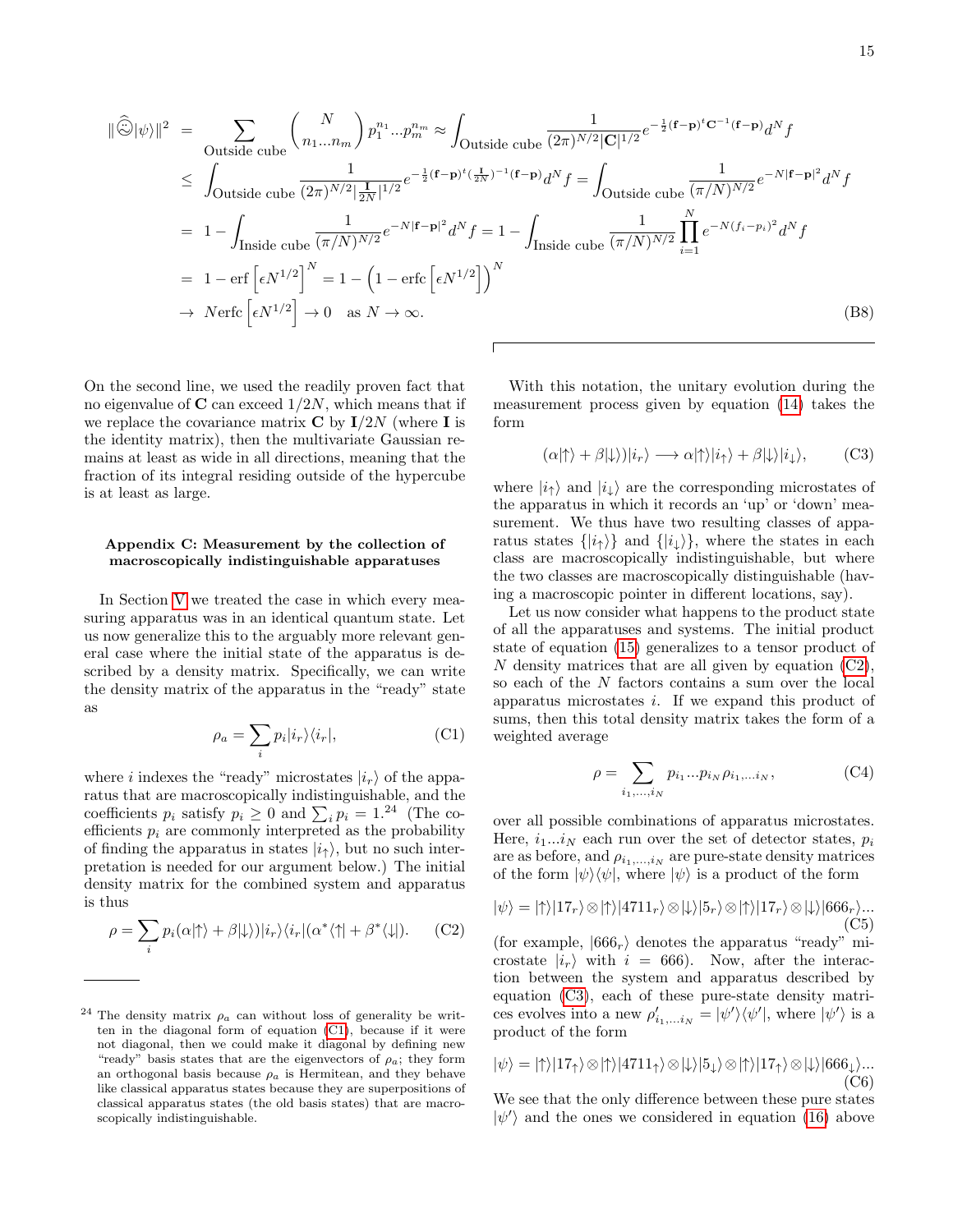$$
\|\widehat{\omega}|\psi\rangle\|^2 = \sum_{\text{Outside cube}} \binom{N}{n_1...n_m} p_1^{n_1}...p_m^{n_m} \approx \int_{\text{Outside cube}} \frac{1}{(2\pi)^{N/2} |\mathbf{C}|^{1/2}} e^{-\frac{1}{2} (\mathbf{f} - \mathbf{p})^t \mathbf{C}^{-1} (\mathbf{f} - \mathbf{p})} d^N f
$$
\n
$$
\leq \int_{\text{Outside cube}} \frac{1}{(2\pi)^{N/2} |\frac{1}{2N}|^{1/2}} e^{-\frac{1}{2} (\mathbf{f} - \mathbf{p})^t (\frac{1}{2N})^{-1} (\mathbf{f} - \mathbf{p})} d^N f = \int_{\text{Outside cube}} \frac{1}{(\pi/N)^{N/2}} e^{-N|\mathbf{f} - \mathbf{p}|^2} d^N f
$$
\n
$$
= 1 - \int_{\text{Inside cube}} \frac{1}{(\pi/N)^{N/2}} e^{-N|\mathbf{f} - \mathbf{p}|^2} d^N f = 1 - \int_{\text{Inside cube}} \frac{1}{(\pi/N)^{N/2}} \prod_{i=1}^N e^{-N(f_i - p_i)^2} d^N f
$$
\n
$$
= 1 - \text{erf}\left[\epsilon N^{1/2}\right]^N = 1 - \left(1 - \text{erfc}\left[\epsilon N^{1/2}\right]\right)^N
$$
\n
$$
\to \text{Nerfc}\left[\epsilon N^{1/2}\right] \to 0 \quad \text{as } N \to \infty. \tag{B8}
$$

On the second line, we used the readily proven fact that no eigenvalue of  $C$  can exceed  $1/2N$ , which means that if we replace the covariance matrix  $C$  by  $I/2N$  (where I is the identity matrix), then the multivariate Gaussian remains at least as wide in all directions, meaning that the fraction of its integral residing outside of the hypercube is at least as large.

### <span id="page-14-0"></span>Appendix C: Measurement by the collection of macroscopically indistinguishable apparatuses

In Section [V](#page-7-0) we treated the case in which every measuring apparatus was in an identical quantum state. Let us now generalize this to the arguably more relevant general case where the initial state of the apparatus is described by a density matrix. Specifically, we can write the density matrix of the apparatus in the "ready" state as

<span id="page-14-1"></span>
$$
\rho_a = \sum_i p_i |i_r\rangle\langle i_r|,\tag{C1}
$$

where i indexes the "ready" microstates  $|i_r\rangle$  of the apparatus that are macroscopically indistinguishable, and the coefficients  $p_i$  satisfy  $p_i \geq 0$  and  $\sum_i p_i = 1.^{24}$  (The coefficients  $p_i$  are commonly interpreted as the probability of finding the apparatus in states  $|i_{\uparrow}\rangle$ , but no such interpretation is needed for our argument below.) The initial density matrix for the combined system and apparatus is thus

<span id="page-14-2"></span>
$$
\rho = \sum_{i} p_i(\alpha|\uparrow\rangle + \beta|\downarrow\rangle)|i_r\rangle\langle i_r|(\alpha^*\langle\uparrow| + \beta^*\langle\downarrow|). \qquad (C2)
$$

With this notation, the unitary evolution during the measurement process given by equation [\(14\)](#page-7-2) takes the form

<span id="page-14-3"></span>
$$
(\alpha|\uparrow\rangle + \beta|\downarrow\rangle)|i_r\rangle \longrightarrow \alpha|\uparrow\rangle|i_{\uparrow}\rangle + \beta|\downarrow\rangle|i_{\downarrow}\rangle, \quad (C3)
$$

where  $|i_{\uparrow}\rangle$  and  $|i_{\downarrow}\rangle$  are the corresponding microstates of the apparatus in which it records an 'up' or 'down' measurement. We thus have two resulting classes of apparatus states  $\{|i_{\uparrow}\rangle\}$  and  $\{|i_{\downarrow}\rangle\}$ , where the states in each class are macroscopically indistinguishable, but where the two classes are macroscopically distinguishable (having a macroscopic pointer in different locations, say).

Let us now consider what happens to the product state of all the apparatuses and systems. The initial product state of equation [\(15\)](#page-7-3) generalizes to a tensor product of  $N$  density matrices that are all given by equation  $(C2)$ , so each of the N factors contains a sum over the local apparatus microstates  $i$ . If we expand this product of sums, then this total density matrix takes the form of a weighted average

<span id="page-14-5"></span>
$$
\rho = \sum_{i_1, ..., i_N} p_{i_1} ... p_{i_N} \rho_{i_1, ..., i_N},
$$
 (C4)

over all possible combinations of apparatus microstates. Here,  $i_1...i_N$  each run over the set of detector states,  $p_i$ are as before, and  $\rho_{i_1,\ldots,i_N}$  are pure-state density matrices of the form  $|\psi\rangle\langle\psi|$ , where  $|\psi\rangle$  is a product of the form

$$
|\psi\rangle = |\uparrow\rangle|17_r\rangle \otimes |\uparrow\rangle|4711_r\rangle \otimes |\downarrow\rangle|5_r\rangle \otimes |\uparrow\rangle|17_r\rangle \otimes |\downarrow\rangle|666_r\rangle...
$$
(C5)

(for example,  $|666<sub>r</sub>\rangle$ ) denotes the apparatus "ready" microstate  $|i_r\rangle$  with  $i = 666$ . Now, after the interaction between the system and apparatus described by equation [\(C3\)](#page-14-3), each of these pure-state density matrices evolves into a new  $\rho'_{i_1...i_N} = |\psi'\rangle\langle\psi'|$ , where  $|\psi'\rangle$  is a product of the form

<span id="page-14-4"></span>
$$
|\psi\rangle = |\uparrow\rangle|17_{\uparrow}\rangle \otimes |\uparrow\rangle|4711_{\uparrow}\rangle \otimes |\downarrow\rangle|5_{\downarrow}\rangle \otimes |\uparrow\rangle|17_{\uparrow}\rangle \otimes |\downarrow\rangle|666_{\downarrow}\rangle...
$$
(C6)

We see that the only difference between these pure states  $|\psi'\rangle$  and the ones we considered in equation [\(16\)](#page-7-4) above

<sup>&</sup>lt;sup>24</sup> The density matrix  $\rho_a$  can without loss of generality be written in the diagonal form of equation [\(C1\)](#page-14-1), because if it were not diagonal, then we could make it diagonal by defining new "ready" basis states that are the eigenvectors of  $\rho_a$ ; they form an orthogonal basis because  $\rho_a$  is Hermitean, and they behave like classical apparatus states because they are superpositions of classical apparatus states (the old basis states) that are macroscopically indistinguishable.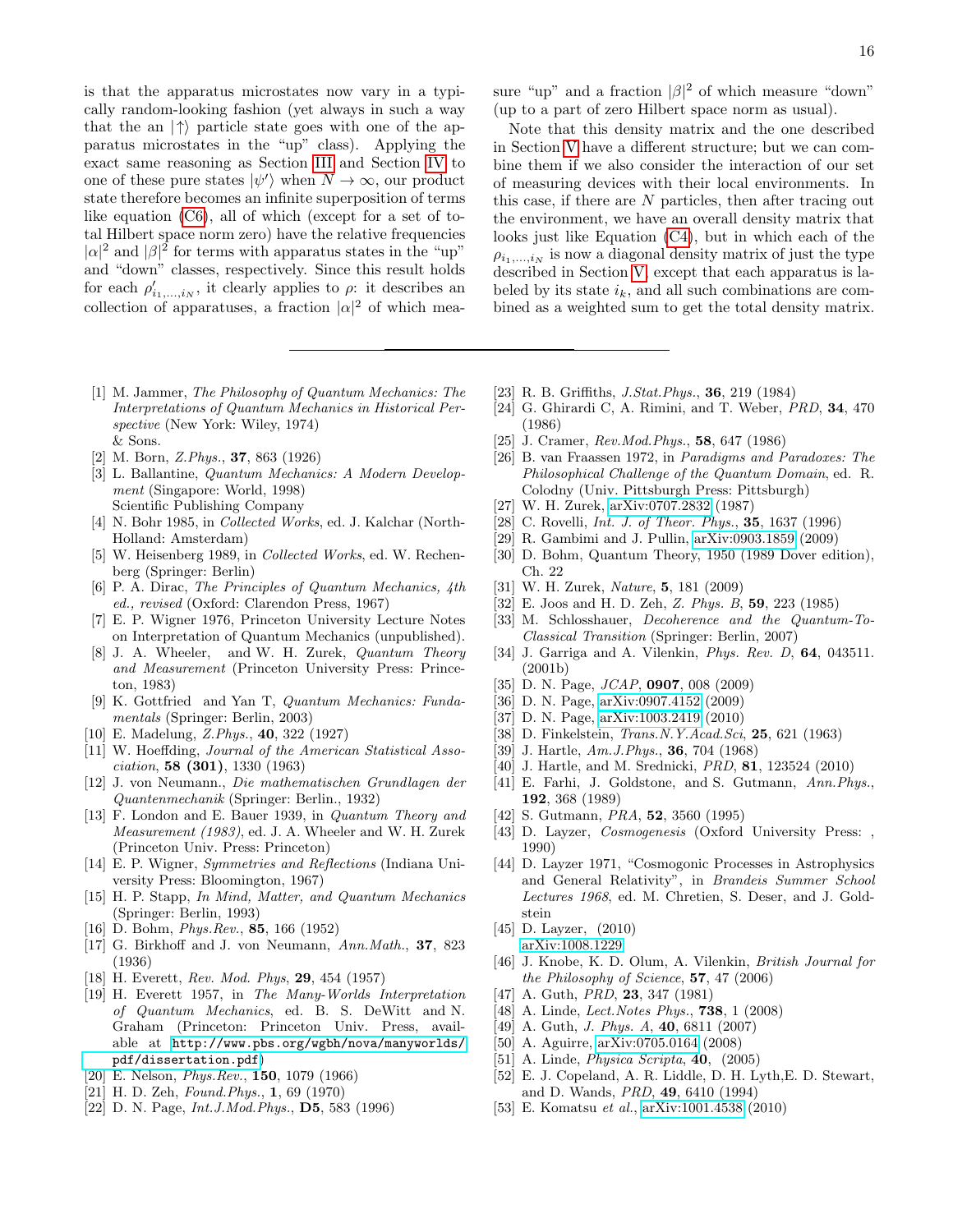is that the apparatus microstates now vary in a typically random-looking fashion (yet always in such a way that the an  $|\uparrow\rangle$  particle state goes with one of the apparatus microstates in the "up" class). Applying the exact same reasoning as Section [III](#page-4-0) and Section [IV](#page-6-0) to one of these pure states  $|\psi'\rangle$  when  $N \to \infty$ , our product state therefore becomes an infinite superposition of terms like equation [\(C6\)](#page-14-4), all of which (except for a set of total Hilbert space norm zero) have the relative frequencies  $|\alpha|^2$  and  $|\beta|^2$  for terms with apparatus states in the "up" and "down" classes, respectively. Since this result holds for each  $\rho'_{i_1,\dots,i_N}$ , it clearly applies to  $\rho$ : it describes an collection of apparatuses, a fraction  $|\alpha|^2$  of which mea-

- <span id="page-15-0"></span>[1] M. Jammer, The Philosophy of Quantum Mechanics: The Interpretations of Quantum Mechanics in Historical Perspective (New York: Wiley, 1974) & Sons.
- <span id="page-15-1"></span>[2] M. Born, Z.Phys., 37, 863 (1926)
- <span id="page-15-2"></span>[3] L. Ballantine, Quantum Mechanics: A Modern Development (Singapore: World, 1998) Scientific Publishing Company
- <span id="page-15-3"></span>[4] N. Bohr 1985, in Collected Works, ed. J. Kalchar (North-Holland: Amsterdam)
- <span id="page-15-4"></span>[5] W. Heisenberg 1989, in Collected Works, ed. W. Rechenberg (Springer: Berlin)
- <span id="page-15-5"></span>[6] P. A. Dirac, The Principles of Quantum Mechanics, 4th ed., revised (Oxford: Clarendon Press, 1967)
- [7] E. P. Wigner 1976, Princeton University Lecture Notes on Interpretation of Quantum Mechanics (unpublished).
- [8] J. A. Wheeler, and W. H. Zurek, *Quantum Theory* and Measurement (Princeton University Press: Princeton, 1983)
- <span id="page-15-6"></span>[9] K. Gottfried and Yan T, Quantum Mechanics: Fundamentals (Springer: Berlin, 2003)
- <span id="page-15-7"></span>[10] E. Madelung, Z.Phys., 40, 322 (1927)
- <span id="page-15-44"></span>[11] W. Hoeffding, Journal of the American Statistical Association, 58 (301), 1330 (1963)
- <span id="page-15-8"></span>[12] J. von Neumann., Die mathematischen Grundlagen der Quantenmechanik (Springer: Berlin., 1932)
- [13] F. London and E. Bauer 1939, in Quantum Theory and Measurement (1983), ed. J. A. Wheeler and W. H. Zurek (Princeton Univ. Press: Princeton)
- [14] E. P. Wigner, Symmetries and Reflections (Indiana University Press: Bloomington, 1967)
- <span id="page-15-9"></span>[15] H. P. Stapp, In Mind, Matter, and Quantum Mechanics (Springer: Berlin, 1993)
- <span id="page-15-10"></span>[16] D. Bohm, *Phys.Rev.*, **85**, 166 (1952)
- <span id="page-15-11"></span>[17] G. Birkhoff and J. von Neumann, Ann.Math., 37, 823 (1936)
- <span id="page-15-12"></span>[18] H. Everett, Rev. Mod. Phys, 29, 454 (1957)
- <span id="page-15-13"></span>[19] H. Everett 1957, in The Many-Worlds Interpretation of Quantum Mechanics, ed. B. S. DeWitt and N. Graham (Princeton: Princeton Univ. Press, available at [http://www.pbs.org/wgbh/nova/manyworlds/](http://www.pbs.org/wgbh/nova/manyworlds/pdf/dissertation.pdf) [pdf/dissertation.pdf](http://www.pbs.org/wgbh/nova/manyworlds/pdf/dissertation.pdf))
- <span id="page-15-14"></span>[20] E. Nelson, *Phys.Rev.*, **150**, 1079 (1966)
- <span id="page-15-15"></span>[21] H. D. Zeh, Found. Phys., 1, 69 (1970)
- <span id="page-15-16"></span>[22] D. N. Page,  $Int. J. Mod. Phys.$ ,  $D5, 583$  (1996)

sure "up" and a fraction  $|\beta|^2$  of which measure "down" (up to a part of zero Hilbert space norm as usual).

Note that this density matrix and the one described in Section [V](#page-7-0) have a different structure; but we can combine them if we also consider the interaction of our set of measuring devices with their local environments. In this case, if there are N particles, then after tracing out the environment, we have an overall density matrix that looks just like Equation [\(C4\)](#page-14-5), but in which each of the  $\rho_{i_1,\dots,i_N}$  is now a diagonal density matrix of just the type described in Section [V,](#page-7-0) except that each apparatus is labeled by its state  $i_k$ , and all such combinations are combined as a weighted sum to get the total density matrix.

- <span id="page-15-17"></span>[23] R. B. Griffiths, J.Stat.Phys., 36, 219 (1984)
- <span id="page-15-18"></span>[24] G. Ghirardi C, A. Rimini, and T. Weber, PRD, 34, 470 (1986)
- <span id="page-15-19"></span>[25] J. Cramer, Rev.Mod.Phys., 58, 647 (1986)
- <span id="page-15-20"></span>[26] B. van Fraassen 1972, in Paradigms and Paradoxes: The Philosophical Challenge of the Quantum Domain, ed. R. Colodny (Univ. Pittsburgh Press: Pittsburgh)
- <span id="page-15-21"></span>[27] W. H. Zurek, [arXiv:0707.2832](http://arxiv.org/abs/0707.2832) (1987)
- <span id="page-15-22"></span>[28] C. Rovelli, *Int. J. of Theor. Phys.*, **35**, 1637 (1996)
- <span id="page-15-23"></span>[29] R. Gambimi and J. Pullin, [arXiv:0903.1859](http://arxiv.org/abs/0903.1859) (2009)
- <span id="page-15-24"></span>[30] D. Bohm, Quantum Theory, 1950 (1989 Dover edition), Ch. 22
- <span id="page-15-25"></span>[31] W. H. Zurek, Nature, 5, 181 (2009)
- <span id="page-15-45"></span>[32] E. Joos and H. D. Zeh, Z. Phys. B, 59, 223 (1985)
- <span id="page-15-26"></span>[33] M. Schlosshauer, Decoherence and the Quantum-To-Classical Transition (Springer: Berlin, 2007)
- <span id="page-15-27"></span>[34] J. Garriga and A. Vilenkin, *Phys. Rev. D.* **64**, 043511. (2001b)
- <span id="page-15-28"></span>[35] D. N. Page, *JCAP*, **0907**, 008 (2009)
- [36] D. N. Page, [arXiv:0907.4152](http://arxiv.org/abs/0907.4152) (2009)
- <span id="page-15-29"></span>[37] D. N. Page, [arXiv:1003.2419](http://arxiv.org/abs/1003.2419) (2010)
- <span id="page-15-30"></span>[38] D. Finkelstein, *Trans.N.Y.Acad.Sci*, **25**, 621 (1963)
- <span id="page-15-42"></span>[39] J. Hartle,  $Am.J.Phys.$ , **36**, 704 (1968)
- <span id="page-15-46"></span>[40] J. Hartle, and M. Srednicki, PRD, 81, 123524 (2010)
- <span id="page-15-43"></span>[41] E. Farhi, J. Goldstone, and S. Gutmann, Ann.Phys., 192, 368 (1989)
- <span id="page-15-31"></span>[42] S. Gutmann, *PRA*, **52**, 3560 (1995)
- <span id="page-15-32"></span>[43] D. Layzer, *Cosmogenesis* (Oxford University Press:, 1990)
- <span id="page-15-35"></span>[44] D. Layzer 1971, "Cosmogonic Processes in Astrophysics and General Relativity", in Brandeis Summer School Lectures 1968, ed. M. Chretien, S. Deser, and J. Goldstein
- <span id="page-15-33"></span>[45] D. Layzer, (2010) [arXiv:1008.1229](http://arxiv.org/abs/1008.1229)
- <span id="page-15-34"></span>[46] J. Knobe, K. D. Olum, A. Vilenkin, British Journal for the Philosophy of Science, 57, 47 (2006)
- <span id="page-15-36"></span>[47] A. Guth, *PRD*, **23**, 347 (1981)
- <span id="page-15-37"></span>[48] A. Linde, *Lect.Notes Phys.*, **738**, 1 (2008)
- [49] A. Guth, *J. Phys. A*, **40**, 6811 (2007)
- <span id="page-15-38"></span>[50] A. Aguirre, [arXiv:0705.0164](http://arxiv.org/abs/0705.0164) (2008)
- <span id="page-15-39"></span>[51] A. Linde, *Physica Scripta*, **40**, (2005)
- <span id="page-15-40"></span>[52] E. J. Copeland, A. R. Liddle, D. H. Lyth,E. D. Stewart, and D. Wands, PRD, 49, 6410 (1994)
- <span id="page-15-41"></span>[53] E. Komatsu et al., [arXiv:1001.4538](http://arxiv.org/abs/1001.4538) (2010)